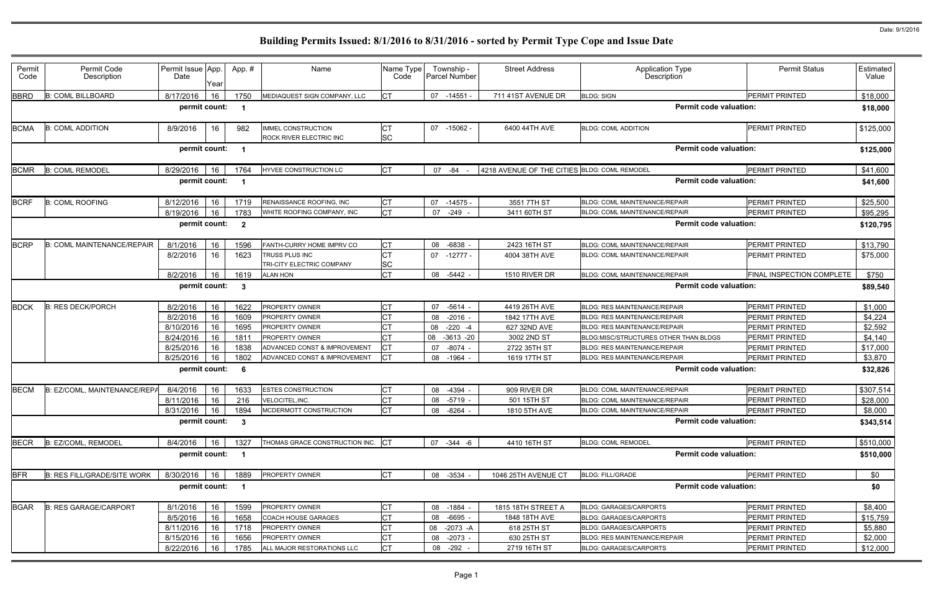| Permit      | Permit Code                        | Permit Issue App. |      | App. #                  | Name                                                 | Name Type              | Township -           | <b>Street Address</b>                        | <b>Application Type</b>               | <b>Permit Status</b>      | Estimated |
|-------------|------------------------------------|-------------------|------|-------------------------|------------------------------------------------------|------------------------|----------------------|----------------------------------------------|---------------------------------------|---------------------------|-----------|
| Code        | Description                        | Date              | Year |                         |                                                      | Code                   | <b>Parcel Number</b> |                                              | Description                           |                           | Value     |
| <b>BBRD</b> | <b>B: COML BILLBOARD</b>           | 8/17/2016         | 16   | 1750                    | MEDIAQUEST SIGN COMPANY, LLC                         |                        | 07<br>-14551         | 711 41ST AVENUE DR                           | <b>BLDG: SIGN</b>                     | <b>PERMIT PRINTED</b>     | \$18,000  |
|             |                                    | permit count:     |      | - 1                     |                                                      |                        |                      |                                              | <b>Permit code valuation:</b>         |                           | \$18,000  |
| <b>BCMA</b> | <b>B: COML ADDITION</b>            | 8/9/2016          | 16   | 982                     | <b>IMMEL CONSTRUCTION</b><br>ROCK RIVER ELECTRIC INC | <b>CT</b><br><b>SC</b> | 07 -15062 -          | 6400 44TH AVE                                | <b>BLDG: COML ADDITION</b>            | <b>PERMIT PRINTED</b>     | \$125,000 |
|             |                                    | permit count:     |      | - 1                     |                                                      |                        |                      |                                              | <b>Permit code valuation:</b>         |                           | \$125,000 |
| <b>BCMR</b> | <b>B: COML REMODEL</b>             | 8/29/2016         | 16   | 1764                    | HYVEE CONSTRUCTION LC                                | IСТ                    | 07 -84               | 4218 AVENUE OF THE CITIES BLDG: COML REMODEL |                                       | <b>PERMIT PRINTED</b>     | \$41,600  |
|             |                                    | permit count:     |      | $\overline{\mathbf{1}}$ |                                                      |                        |                      |                                              | <b>Permit code valuation:</b>         |                           | \$41,600  |
| <b>BCRF</b> | <b>B: COML ROOFING</b>             | 8/12/2016         | 16   | 1719                    | RENAISSANCE ROOFING, INC                             | СT                     | -14575 -<br>07       | 3551 7TH ST                                  | BLDG: COML MAINTENANCE/REPAIR         | <b>PERMIT PRINTED</b>     | \$25,500  |
|             |                                    | 8/19/2016         | 16   | 1783                    | WHITE ROOFING COMPANY, INC                           | IСТ                    | 07 -249 -            | 3411 60TH ST                                 | BLDG: COML MAINTENANCE/REPAIR         | PERMIT PRINTED            | \$95,295  |
|             |                                    | permit count:     |      | $\overline{\mathbf{2}}$ |                                                      |                        |                      |                                              | <b>Permit code valuation:</b>         |                           | \$120,795 |
| <b>BCRP</b> | <b>B: COML MAINTENANCE/REPAIR</b>  | 8/1/2016          | 16   | 1596                    | FANTH-CURRY HOME IMPRV CO                            | <b>CT</b>              | 08 -6838 -           | 2423 16TH ST                                 | BLDG: COML MAINTENANCE/REPAIR         | <b>PERMIT PRINTED</b>     | \$13,790  |
|             |                                    | 8/2/2016          | 16   | 1623                    | TRUSS PLUS INC                                       |                        | $07 - 12777 -$       | 4004 38TH AVE                                | BLDG: COML MAINTENANCE/REPAIR         | <b>PERMIT PRINTED</b>     | \$75,000  |
|             |                                    |                   |      |                         | TRI-CITY ELECTRIC COMPANY                            | <b>SC</b>              |                      |                                              |                                       |                           |           |
|             |                                    | 8/2/2016          | 16   | 1619                    | <b>ALAN HON</b>                                      | СT                     | $-5442 -$<br>08      | 1510 RIVER DR                                | BLDG: COML MAINTENANCE/REPAIR         | FINAL INSPECTION COMPLETE | \$750     |
|             |                                    | permit count:     |      | $\overline{\mathbf{3}}$ |                                                      |                        |                      |                                              | <b>Permit code valuation:</b>         |                           | \$89,540  |
| <b>BDCK</b> | <b>B: RES DECK/PORCH</b>           | 8/2/2016          | 16   | 1622                    | PROPERTY OWNER                                       |                        | $-5614 -$<br>07      | 4419 26TH AVE                                | <b>BLDG: RES MAINTENANCE/REPAIR</b>   | <b>PERMIT PRINTED</b>     | \$1,000   |
|             |                                    | 8/2/2016          | 16   | 1609                    | PROPERTY OWNER                                       |                        | $-2016 -$<br>08      | 1842 17TH AVE                                | <b>BLDG: RES MAINTENANCE/REPAIR</b>   | PERMIT PRINTED            | \$4,224   |
|             |                                    | 8/10/2016         | 16   | 1695                    | PROPERTY OWNER                                       |                        | $-220 - 4$<br>08     | 627 32ND AVE                                 | <b>BLDG: RES MAINTENANCE/REPAIR</b>   | <b>PERMIT PRINTED</b>     | \$2,592   |
|             |                                    | 8/24/2016         | 16   | 1811                    | PROPERTY OWNER                                       |                        | 08<br>$-3613 - 20$   | 3002 2ND ST                                  | BLDG:MISC/STRUCTURES OTHER THAN BLDGS | PERMIT PRINTED            | \$4,140   |
|             |                                    | 8/25/2016         | 16   | 1838                    | ADVANCED CONST & IMPROVEMENT                         |                        | -8074<br>07          | 2722 35TH ST                                 | <b>BLDG: RES MAINTENANCE/REPAIR</b>   | PERMIT PRINTED            | \$17,000  |
|             |                                    | 8/25/2016         | 16   | 1802                    | ADVANCED CONST & IMPROVEMENT                         | <b>ICT</b>             | -1964<br>08          | 1619 17TH ST                                 | BLDG: RES MAINTENANCE/REPAIR          | <b>PERMIT PRINTED</b>     | \$3,870   |
|             |                                    | permit count:     |      | - 6                     |                                                      |                        |                      |                                              | <b>Permit code valuation:</b>         |                           | \$32,826  |
| <b>BECM</b> | B: EZ/COML, MAINTENANCE/REPA       | 8/4/2016          | 16   | 1633                    | <b>ESTES CONSTRUCTION</b>                            | C1                     | 08 -4394 -           | 909 RIVER DR                                 | <b>BLDG: COML MAINTENANCE/REPAIR</b>  | PERMIT PRINTED            | \$307,514 |
|             |                                    | 8/11/2016 16      |      | 216                     | VELOCITEL, INC.                                      | Iст<br>◡               | 08 -5719             | 501 15TH ST                                  | BLDG: COML MAINTENANCE/REPAIR         | <b>PERMIT PRINTED</b>     | \$28,000  |
|             |                                    | 8/31/2016   16    |      | 1894                    | MCDERMOTT CONSTRUCTION                               |                        | 08 -8264 -           | 1810 5TH AVE                                 | BLDG: COML MAINTENANCE/REPAIR         | PERMIT PRINTED            | \$8,000   |
|             |                                    | permit count: 3   |      |                         |                                                      |                        |                      |                                              | <b>Permit code valuation:</b>         |                           | \$343,514 |
| <b>BECR</b> | B: EZ/COML, REMODEL                | 8/4/2016          | 16   | 1327                    | THOMAS GRACE CONSTRUCTION INC. CT                    |                        | 07 -344 -6           | 4410 16TH ST                                 | <b>BLDG: COML REMODEL</b>             | PERMIT PRINTED            | \$510,000 |
|             |                                    | permit count: 1   |      |                         |                                                      |                        |                      |                                              | <b>Permit code valuation:</b>         |                           | \$510,000 |
| <b>BFR</b>  | <b>B: RES FILL/GRADE/SITE WORK</b> | 8/30/2016 16      |      | 1889                    | PROPERTY OWNER                                       | <b>CT</b>              | 08 -3534 -           | 1046 25TH AVENUE CT                          | <b>BLDG: FILL/GRADE</b>               | PERMIT PRINTED            | \$0       |
|             |                                    | permit count: 1   |      |                         |                                                      |                        |                      |                                              | <b>Permit code valuation:</b>         |                           | \$0       |
| <b>BGAR</b> | <b>B: RES GARAGE/CARPORT</b>       | 8/1/2016          | 16   | 1599                    | PROPERTY OWNER                                       | Iст                    | 08 -1884 -           | 1815 18TH STREET A                           | <b>BLDG: GARAGES/CARPORTS</b>         | PERMIT PRINTED            | \$8,400   |
|             |                                    | 8/5/2016          | 16   | 1658                    | COACH HOUSE GARAGES                                  |                        | $-6695 -$<br>08      | 1848 18TH AVE                                | <b>BLDG: GARAGES/CARPORTS</b>         | <b>PERMIT PRINTED</b>     | \$15,759  |
|             |                                    | 8/11/2016         | 16   | 1718                    | PROPERTY OWNER                                       |                        | 08 -2073 -A          | 618 25TH ST                                  | <b>BLDG: GARAGES/CARPORTS</b>         | PERMIT PRINTED            | \$5,880   |
|             |                                    | 8/15/2016         | 16   | 1656                    | PROPERTY OWNER                                       |                        | 08 -2073 -           | 630 25TH ST                                  | BLDG: RES MAINTENANCE/REPAIR          | <b>PERMIT PRINTED</b>     | \$2,000   |
|             |                                    | 8/22/2016         | 16   | 1785                    | ALL MAJOR RESTORATIONS LLC                           | Iст                    | 08 -292 -            | 2719 16TH ST                                 | <b>BLDG: GARAGES/CARPORTS</b>         | PERMIT PRINTED            | \$12,000  |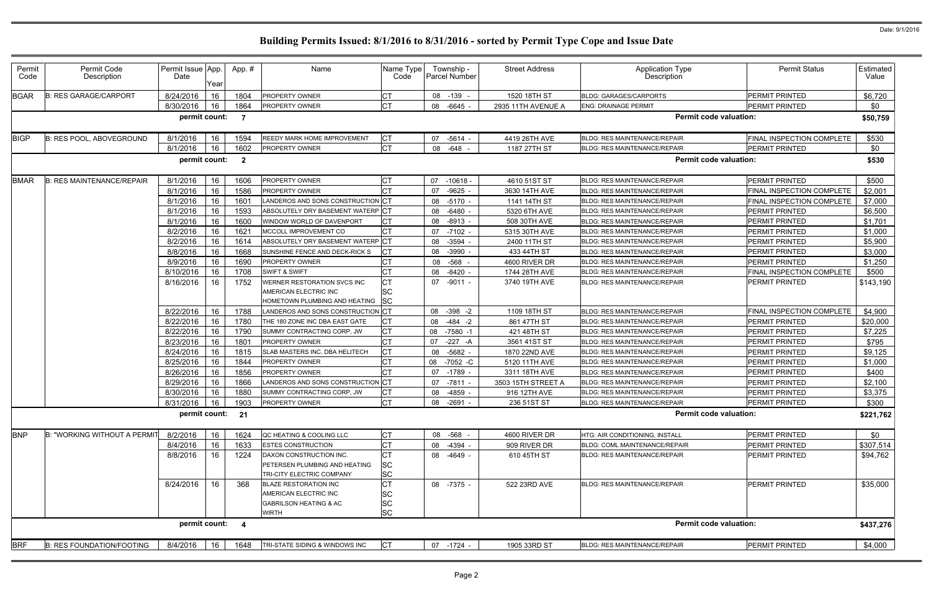| Permit<br>Code | Permit Code<br>Description          | Permit Issue App.<br>Date | Year       | App.#                   | Name                                                                                                | Name Type<br>Code      | Township -<br><b>Parcel Number</b> | <b>Street Address</b> | Application Type<br>Description     | <b>Permit Status</b>      | Estimated  <br>Value |
|----------------|-------------------------------------|---------------------------|------------|-------------------------|-----------------------------------------------------------------------------------------------------|------------------------|------------------------------------|-----------------------|-------------------------------------|---------------------------|----------------------|
| <b>BGAR</b>    | <b>B: RES GARAGE/CARPORT</b>        | 8/24/2016                 | 16         | 1804                    | <b>PROPERTY OWNER</b>                                                                               | IСT                    | 08 -139 -                          | 1520 18TH ST          | <b>BLDG: GARAGES/CARPORTS</b>       | PERMIT PRINTED            | \$6,720              |
|                |                                     | 8/30/2016                 | 16         | 1864                    | PROPERTY OWNER                                                                                      | <b>CT</b>              | 08 -6645 -                         | 2935 11TH AVENUE A    | <b>ENG: DRAINAGE PERMIT</b>         | PERMIT PRINTED            | \$0                  |
|                |                                     | permit count:             |            | $\overline{7}$          |                                                                                                     |                        |                                    |                       | <b>Permit code valuation:</b>       |                           | \$50,759             |
| <b>BIGP</b>    | B: RES POOL, ABOVEGROUND            | 8/1/2016                  | 16         | 1594                    | REEDY MARK HOME IMPROVEMENT                                                                         | <b>CT</b>              | 07 -5614 -                         | 4419 26TH AVE         | <b>BLDG: RES MAINTENANCE/REPAIR</b> | FINAL INSPECTION COMPLETE | \$530                |
|                |                                     | 8/1/2016                  | 16         | 1602                    | PROPERTY OWNER                                                                                      | <b>CT</b>              | 08 -648                            | 1187 27TH ST          | <b>BLDG: RES MAINTENANCE/REPAIR</b> | <b>PERMIT PRINTED</b>     | \$0                  |
|                |                                     | permit count:             |            | $\overline{\mathbf{2}}$ |                                                                                                     |                        |                                    |                       | <b>Permit code valuation:</b>       |                           | \$530                |
| <b>BMAR</b>    | <b>B: RES MAINTENANCE/REPAIR</b>    | 8/1/2016                  | 16         | 1606                    | PROPERTY OWNER                                                                                      | <b>CT</b>              | $-10618$<br>07                     | 4610 51ST ST          | <b>BLDG: RES MAINTENANCE/REPAIR</b> | PERMIT PRINTED            | \$500                |
|                |                                     | 8/1/2016                  | 16         | 1586                    | PROPERTY OWNER                                                                                      |                        | 07<br>-9625 -                      | 3630 14TH AVE         | <b>BLDG: RES MAINTENANCE/REPAIR</b> | FINAL INSPECTION COMPLETE | \$2,001              |
|                |                                     | 8/1/2016                  | 16         | 1601                    | ANDEROS AND SONS CONSTRUCTION CT                                                                    |                        | 08 -5170 -                         | 1141 14TH ST          | <b>BLDG: RES MAINTENANCE/REPAIR</b> | FINAL INSPECTION COMPLETE | \$7,000              |
|                |                                     | 8/1/2016                  | 16         | 1593                    | ABSOLUTELY DRY BASEMENT WATERP CT                                                                   |                        | 08 -6480 -                         | 5320 6TH AVE          | <b>BLDG: RES MAINTENANCE/REPAIR</b> | PERMIT PRINTED            | \$6,500              |
|                |                                     | 8/1/2016                  | 16         | 1600                    | WINDOW WORLD OF DAVENPORT                                                                           | IСТ                    | 08 -8913 -                         | 508 30TH AVE          | <b>BLDG: RES MAINTENANCE/REPAIR</b> | PERMIT PRINTED            | \$1,701              |
|                |                                     | 8/2/2016                  | 16         | 1621                    | <b>MCCOLL IMPROVEMENT CO</b>                                                                        | <b>CT</b>              | 07<br>$-7102 -$                    | 5315 30TH AVE         | BLDG: RES MAINTENANCE/REPAIR        | PERMIT PRINTED            | \$1,000              |
|                |                                     | 8/2/2016                  | 16         | 1614                    | ABSOLUTELY DRY BASEMENT WATERP CT                                                                   |                        | 08 -3594 -                         | 2400 11TH ST          | <b>BLDG: RES MAINTENANCE/REPAIR</b> | PERMIT PRINTED            | \$5,900              |
|                |                                     | 8/8/2016                  | 16         | 1668                    | SUNSHINE FENCE AND DECK-RICK S                                                                      |                        | 08 -3990                           | 433 44TH ST           | <b>BLDG: RES MAINTENANCE/REPAIR</b> | PERMIT PRINTED            | \$3,000              |
|                |                                     | 8/9/2016                  | 16         | 1690                    | PROPERTY OWNER                                                                                      | <b>CT</b>              | -568<br>08                         | 4600 RIVER DR         | <b>BLDG: RES MAINTENANCE/REPAIR</b> | PERMIT PRINTED            | \$1,250              |
|                |                                     | 8/10/2016                 | 16         | 1708                    | <b>SWIFT &amp; SWIFT</b>                                                                            | <b>CT</b>              | 08<br>-8420                        | 1744 28TH AVE         | <b>BLDG: RES MAINTENANCE/REPAIR</b> | FINAL INSPECTION COMPLETE | \$500                |
|                |                                     | 8/16/2016                 | 16         | 1752                    | <b>WERNER RESTORATION SVCS INC</b><br>AMERICAN ELECTRIC INC<br><b>IOMETOWN PLUMBING AND HEATING</b> | <b>SC</b><br><b>SC</b> | 07 -9011 -                         | 3740 19TH AVE         | <b>BLDG: RES MAINTENANCE/REPAIR</b> | PERMIT PRINTED            | \$143,190            |
|                |                                     | 8/22/2016                 | 16         | 1788                    | ANDEROS AND SONS CONSTRUCTION CT                                                                    |                        | 08<br>$-398 - 2$                   | 1109 18TH ST          | <b>BLDG: RES MAINTENANCE/REPAIR</b> | FINAL INSPECTION COMPLETE | \$4,900              |
|                |                                     | 8/22/2016                 | 16         | 1780                    | THE 180 ZONE INC DBA EAST GATE                                                                      | СT                     | 08<br>-484 -2                      | 861 47TH ST           | <b>BLDG: RES MAINTENANCE/REPAIR</b> | PERMIT PRINTED            | \$20,000             |
|                |                                     | 8/22/2016                 | 16         | 1790                    | SUMMY CONTRACTING CORP, JW                                                                          | <b>CT</b>              | 08<br>$-7580 -1$                   | 421 48TH ST           | BLDG: RES MAINTENANCE/REPAIR        | PERMIT PRINTED            | \$7,225              |
|                |                                     | 8/23/2016                 | 16         | 1801                    | <b>PROPERTY OWNER</b>                                                                               | <b>CT</b>              | 07<br>-227 -A                      | 3561 41ST ST          | BLDG: RES MAINTENANCE/REPAIR        | PERMIT PRINTED            | \$795                |
|                |                                     | 8/24/2016                 | 16         | 1815                    | SLAB MASTERS INC. DBA HELITECH                                                                      | СT                     | -5682 -<br>08                      | 1870 22ND AVE         | <b>BLDG: RES MAINTENANCE/REPAIR</b> | PERMIT PRINTED            | \$9,125              |
|                |                                     | 8/25/2016                 | 16         | 1844                    | PROPERTY OWNER                                                                                      |                        | 08<br>-7052 -C                     | 5120 11TH AVE         | <b>BLDG: RES MAINTENANCE/REPAIR</b> | PERMIT PRINTED            | \$1,000              |
|                |                                     | 8/26/2016                 | 16         | 1856                    | <b>PROPERTY OWNER</b>                                                                               | IСТ                    | 07 -1789 -                         | 3311 18TH AVE         | <b>BLDG: RES MAINTENANCE/REPAIR</b> | PERMIT PRINTED            | \$400                |
|                |                                     | 8/29/2016                 | 16         | 1866                    | ANDEROS AND SONS CONSTRUCTION CT                                                                    |                        | 07<br>-7811 -                      | 3503 15TH STREET A    | <b>BLDG: RES MAINTENANCE/REPAIR</b> | PERMIT PRINTED            | \$2,100              |
|                |                                     | 8/30/2016                 | 16         | 1880                    | SUMMY CONTRACTING CORP, JW                                                                          | CТ                     | 08 -4859 -                         | 916 12TH AVE          | BLDG: RES MAINTENANCE/REPAIR        | PERMIT PRINTED            | \$3,375              |
|                |                                     |                           |            |                         | 8/31/2016   16   1903 PROPERTY OWNER                                                                | $\Gamma$               | 08 -2691 -                         | 236 51ST ST           | BLDG: RES MAINTENANCE/REPAIR        | PERMIT PRINTED            | \$300                |
|                |                                     | permit count: 21          |            |                         |                                                                                                     |                        |                                    |                       | <b>Permit code valuation:</b>       |                           | \$221,762            |
| <b>BNP</b>     | <b>B: "WORKING WITHOUT A PERMIT</b> | 8/2/2016                  | 16         | 1624                    | QC HEATING & COOLING LLC                                                                            | <b>CT</b>              | 08 -568 -                          | 4600 RIVER DR         | HTG: AIR CONDITIONING, INSTALL      | PERMIT PRINTED            | \$0                  |
|                |                                     | 8/4/2016                  | 16         | 1633                    | <b>ESTES CONSTRUCTION</b>                                                                           | IСТ                    | 08 -4394 -                         | 909 RIVER DR          | BLDG: COML MAINTENANCE/REPAIR       | PERMIT PRINTED            | \$307,514            |
|                |                                     | 8/8/2016                  | 16         | 1224                    | DAXON CONSTRUCTION INC.                                                                             | СT                     | 08 -4649 -                         | 610 45TH ST           | <b>BLDG: RES MAINTENANCE/REPAIR</b> | PERMIT PRINTED            | \$94,762             |
|                |                                     |                           |            |                         | PETERSEN PLUMBING AND HEATING                                                                       | <b>SC</b>              |                                    |                       |                                     |                           |                      |
|                |                                     |                           |            |                         | TRI-CITY ELECTRIC COMPANY                                                                           | <b>SC</b>              |                                    |                       |                                     |                           |                      |
|                |                                     | 8/24/2016                 | 16         | 368                     | <b>BLAZE RESTORATION INC</b><br>AMERICAN ELECTRIC INC                                               | <b>CT</b><br>SC        | 08 -7375 -                         | 522 23RD AVE          | <b>BLDG: RES MAINTENANCE/REPAIR</b> | PERMIT PRINTED            | \$35,000             |
|                |                                     |                           |            |                         | <b>GABRILSON HEATING &amp; AC</b>                                                                   | <b>SC</b>              |                                    |                       |                                     |                           |                      |
|                |                                     | permit count:             |            | $\overline{\mathbf{4}}$ | WIRTH                                                                                               | <b>SC</b>              |                                    |                       | <b>Permit code valuation:</b>       |                           | \$437,276            |
|                |                                     |                           |            |                         |                                                                                                     |                        |                                    |                       |                                     |                           |                      |
| <b>BRF</b>     | <b>B: RES FOUNDATION/FOOTING</b>    | 8/4/2016                  | $\vert$ 16 | 1648                    | TRI-STATE SIDING & WINDOWS INC                                                                      | <b>CT</b>              | 07 -1724 -                         | 1905 33RD ST          | <b>BLDG: RES MAINTENANCE/REPAIR</b> | PERMIT PRINTED            | \$4,000              |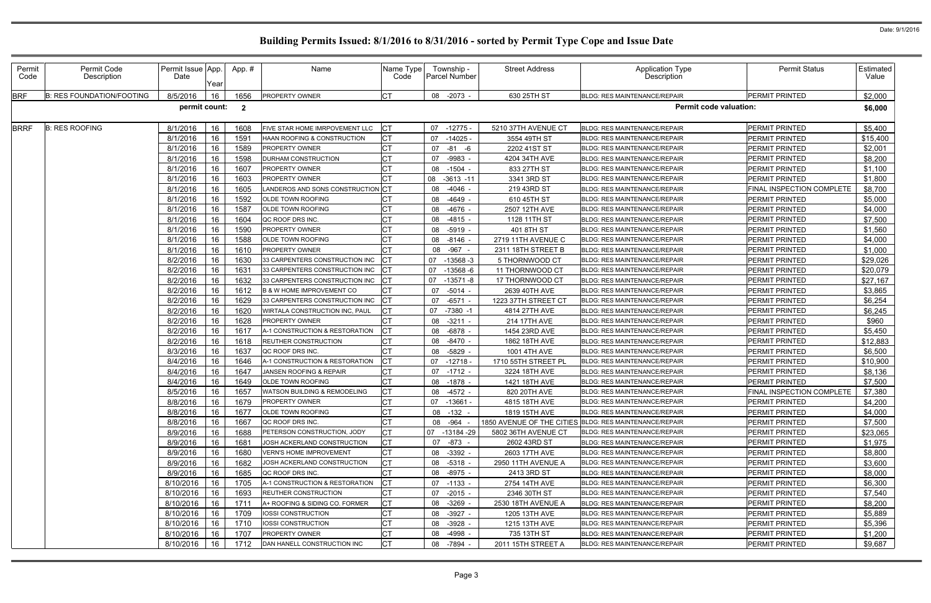| Year<br><b>BRF</b><br><b>CT</b><br><b>B: RES FOUNDATION/FOOTING</b><br>8/5/2016<br>1656<br>08 -2073 -<br>630 25TH ST<br>PERMIT PRINTED<br>16<br><b>PROPERTY OWNER</b><br><b>BLDG: RES MAINTENANCE/REPAIR</b><br>permit count:<br><b>Permit code valuation:</b><br>$\overline{2}$<br><b>BRRF</b><br><b>B: RES ROOFING</b><br>8/1/2016<br>1608<br>FIVE STAR HOME IMRPOVEMENT LLC<br> CT<br>07 -12775 -<br>PERMIT PRINTED<br>16<br>5210 37TH AVENUE CT<br><b>BLDG: RES MAINTENANCE/REPAIR</b><br>16<br>8/1/2016<br>1591<br>07<br>$-14025$<br>PERMIT PRINTED<br>HAAN ROOFING & CONSTRUCTION<br>3554 49TH ST<br>BLDG: RES MAINTENANCE/REPAIR<br>16<br><b>CT</b><br>8/1/2016<br>1589<br><b>PROPERTY OWNER</b><br>07<br>$-81 - 6$<br>2202 41ST ST<br>PERMIT PRINTED<br><b>BLDG: RES MAINTENANCE/REPAIR</b><br>16<br>1598<br>4204 34TH AVE<br>8/1/2016<br>DURHAM CONSTRUCTION<br>07<br>-9983 -<br><b>BLDG: RES MAINTENANCE/REPAIR</b><br>PERMIT PRINTED<br>8/1/2016<br>16<br>1607<br>833 27TH ST<br>PERMIT PRINTED<br><b>PROPERTY OWNER</b><br>08<br>$-1504 -$<br>BLDG: RES MAINTENANCE/REPAIR<br>16<br>8/1/2016<br>1603<br>08<br>$-3613 - 11$<br>3341 3RD ST<br>PERMIT PRINTED<br><b>PROPERTY OWNER</b><br>BLDG: RES MAINTENANCE/REPAIR<br>8/1/2016<br>16<br>1605<br>LANDEROS AND SONS CONSTRUCTION CT<br>$-4046$ -<br>219 43RD ST<br>FINAL INSPECTION COMPLETE<br>08<br><b>BLDG: RES MAINTENANCE/REPAIR</b><br>8/1/2016<br>16<br>1592<br>OLDE TOWN ROOFING<br>610 45TH ST<br>PERMIT PRINTED<br>08<br>-4649 -<br><b>BLDG: RES MAINTENANCE/REPAIR</b><br>8/1/2016<br>16<br>1587<br>08<br>-4676 -<br>2507 12TH AVE<br>PERMIT PRINTED<br>OLDE TOWN ROOFING<br>BLDG: RES MAINTENANCE/REPAIR<br>8/1/2016<br>16<br>1604<br>QC ROOF DRS INC.<br>$-4815 -$<br>PERMIT PRINTED<br>08<br>1128 11TH ST<br><b>BLDG: RES MAINTENANCE/REPAIR</b><br>8/1/2016<br>16<br>1590<br>08 -5919 -<br>401 8TH ST<br>PERMIT PRINTED<br>PROPERTY OWNER<br>BLDG: RES MAINTENANCE/REPAIR<br>8/1/2016<br>16<br>1588<br>OLDE TOWN ROOFING<br>$-8146$<br>PERMIT PRINTED<br>08<br>2719 11TH AVENUE C<br><b>BLDG: RES MAINTENANCE/REPAIR</b><br>16<br>8/1/2016<br>08 - 967 -<br>PERMIT PRINTED<br>1610<br>PROPERTY OWNER<br>2311 18TH STREET B<br><b>BLDG: RES MAINTENANCE/REPAIR</b><br>8/2/2016<br>16<br>1630<br>33 CARPENTERS CONSTRUCTION INC<br>$-13568-3$<br>PERMIT PRINTED<br>07<br>5 THORNWOOD CT<br><b>BLDG: RES MAINTENANCE/REPAIR</b><br>16<br>8/2/2016<br>163'<br>07<br>$-13568 - 6$<br>11 THORNWOOD CT<br>PERMIT PRINTED<br>33 CARPENTERS CONSTRUCTION INC<br>BLDG: RES MAINTENANCE/REPAIR<br>8/2/2016<br>16<br>07<br>$-13571 - 8$<br>17 THORNWOOD CT<br>PERMIT PRINTED<br>1632<br>33 CARPENTERS CONSTRUCTION INC<br><b>BLDG: RES MAINTENANCE/REPAIR</b><br>16<br><b>CT</b><br>8/2/2016<br>$-5014 -$<br>2639 40TH AVE<br>PERMIT PRINTED<br>1612<br><b>B &amp; W HOME IMPROVEMENT CO</b><br>07<br><b>BLDG: RES MAINTENANCE/REPAIR</b><br>8/2/2016<br>16<br>1629<br>33 CARPENTERS CONSTRUCTION INC<br>07<br>-6571 -<br>1223 37TH STREET CT<br>BLDG: RES MAINTENANCE/REPAIR<br>PERMIT PRINTED<br>8/2/2016<br>16<br>$-7380 - 1$<br>4814 27TH AVE<br>PERMIT PRINTED<br>1620<br>07<br>WIRTALA CONSTRUCTION INC, PAUL<br>BLDG: RES MAINTENANCE/REPAIR<br>16<br>8/2/2016<br>1628<br><b>PROPERTY OWNER</b><br>08<br>$-3211 -$<br>214 17TH AVE<br>BLDG: RES MAINTENANCE/REPAIR<br>PERMIT PRINTED<br>8/2/2016<br>16<br>1617<br>-6878<br>1454 23RD AVE<br>PERMIT PRINTED<br>A-1 CONSTRUCTION & RESTORATION<br>08<br><b>BLDG: RES MAINTENANCE/REPAIR</b><br>16<br>8/2/2016<br><b>REUTHER CONSTRUCTION</b><br><b>BLDG: RES MAINTENANCE/REPAIR</b><br>PERMIT PRINTED<br>1618<br>08<br>-8470 -<br>1862 18TH AVE<br>8/3/2016<br>16<br>C <sub>T</sub><br>-5829<br>1001 4TH AVE<br>1637<br>08<br>PERMIT PRINTED<br>QC ROOF DRS INC.<br>BLDG: RES MAINTENANCE/REPAIR<br>16<br>$-12718$<br>8/4/2016<br>1646<br>A-1 CONSTRUCTION & RESTORATION<br>07<br>1710 55TH STREET PL<br>BLDG: RES MAINTENANCE/REPAIR<br>PERMIT PRINTED<br>8/4/2016<br>16<br>1647<br>JANSEN ROOFING & REPAIR<br>07<br>$-1712 -$<br>3224 18TH AVE<br>PERMIT PRINTED<br><b>BLDG: RES MAINTENANCE/REPAIR</b><br><b>CT</b><br>8/4/2016<br>16<br>1421 18TH AVE<br>PERMIT PRINTED<br>1649<br>OLDE TOWN ROOFING<br>08 -1878 -<br><b>BLDG: RES MAINTENANCE/REPAIR</b><br>8/5/2016<br>16<br>1657<br>WATSON BUILDING & REMODELING<br>08 -4572 -<br>820 20TH AVE<br>FINAL INSPECTION COMPLETE<br>BLDG: RES MAINTENANCE/REPAIR<br>$\sim$ $\sim$<br>16<br>1679<br>PERMIT PRINTED<br>8/8/2016<br>07 -13661 -<br>4815 18TH AVE<br>PROPERTY OWNER<br>BLDG: RES MAINTENANCE/REPAIR<br>∣∪∣<br>8/8/2016<br>16<br>1677<br><b>OLDE TOWN ROOFING</b><br>08 -132 -<br>1819 15TH AVE<br>BLDG: RES MAINTENANCE/REPAIR<br>PERMIT PRINTED<br><b>CT</b><br>8/8/2016<br>16<br>PERMIT PRINTED<br>1667<br>QC ROOF DRS INC.<br>1850 AVENUE OF THE CITIES BLDG: RES MAINTENANCE/REPAIR<br>08 - 964 -<br>8/9/2016<br>16<br>СT<br>1688<br>PETERSON CONSTRUCTION, JODY<br>PERMIT PRINTED<br>07 -13184 -29<br>5802 36TH AVENUE CT<br><b>BLDG: RES MAINTENANCE/REPAIR</b><br>8/9/2016<br>16<br>PERMIT PRINTED<br>1681<br>07<br>-873 -<br>2602 43RD ST<br>JOSH ACKERLAND CONSTRUCTION<br>BLDG: RES MAINTENANCE/REPAIR<br>СT<br>8/9/2016<br>16<br>1680<br>2603 17TH AVE<br>PERMIT PRINTED<br><b>VERN'S HOME IMPROVEMENT</b><br>-3392 -<br><b>BLDG: RES MAINTENANCE/REPAIR</b><br>08<br><b>CT</b><br>8/9/2016<br>16<br>PERMIT PRINTED<br>1682<br>JOSH ACKERLAND CONSTRUCTION<br>08 -5318 -<br>2950 11TH AVENUE A<br><b>BLDG: RES MAINTENANCE/REPAIR</b><br><b>CT</b><br>8/9/2016<br>16<br>PERMIT PRINTED<br>1685<br>QC ROOF DRS INC.<br>08 -8975 -<br>2413 3RD ST<br><b>BLDG: RES MAINTENANCE/REPAIR</b> | <b>Permit Status</b><br><b>Estimated</b><br>Value |
|-------------------------------------------------------------------------------------------------------------------------------------------------------------------------------------------------------------------------------------------------------------------------------------------------------------------------------------------------------------------------------------------------------------------------------------------------------------------------------------------------------------------------------------------------------------------------------------------------------------------------------------------------------------------------------------------------------------------------------------------------------------------------------------------------------------------------------------------------------------------------------------------------------------------------------------------------------------------------------------------------------------------------------------------------------------------------------------------------------------------------------------------------------------------------------------------------------------------------------------------------------------------------------------------------------------------------------------------------------------------------------------------------------------------------------------------------------------------------------------------------------------------------------------------------------------------------------------------------------------------------------------------------------------------------------------------------------------------------------------------------------------------------------------------------------------------------------------------------------------------------------------------------------------------------------------------------------------------------------------------------------------------------------------------------------------------------------------------------------------------------------------------------------------------------------------------------------------------------------------------------------------------------------------------------------------------------------------------------------------------------------------------------------------------------------------------------------------------------------------------------------------------------------------------------------------------------------------------------------------------------------------------------------------------------------------------------------------------------------------------------------------------------------------------------------------------------------------------------------------------------------------------------------------------------------------------------------------------------------------------------------------------------------------------------------------------------------------------------------------------------------------------------------------------------------------------------------------------------------------------------------------------------------------------------------------------------------------------------------------------------------------------------------------------------------------------------------------------------------------------------------------------------------------------------------------------------------------------------------------------------------------------------------------------------------------------------------------------------------------------------------------------------------------------------------------------------------------------------------------------------------------------------------------------------------------------------------------------------------------------------------------------------------------------------------------------------------------------------------------------------------------------------------------------------------------------------------------------------------------------------------------------------------------------------------------------------------------------------------------------------------------------------------------------------------------------------------------------------------------------------------------------------------------------------------------------------------------------------------------------------------------------------------------------------------------------------------------------------------------------------------------------------------------------------------------------------------------------------------------------------------------------------------------------------------------------------------------------------------------------------------------------------------------------------------------------------------------------------------------------------------------------------------------------------------------------------------------------------------------------------------------------------------------------------------------------------------------------------------------------------------------------------------------------------------------------------------------------------------------------------------------------------------------------------------------------------------------------------------------------------------------------------------------------------------------|---------------------------------------------------|
|                                                                                                                                                                                                                                                                                                                                                                                                                                                                                                                                                                                                                                                                                                                                                                                                                                                                                                                                                                                                                                                                                                                                                                                                                                                                                                                                                                                                                                                                                                                                                                                                                                                                                                                                                                                                                                                                                                                                                                                                                                                                                                                                                                                                                                                                                                                                                                                                                                                                                                                                                                                                                                                                                                                                                                                                                                                                                                                                                                                                                                                                                                                                                                                                                                                                                                                                                                                                                                                                                                                                                                                                                                                                                                                                                                                                                                                                                                                                                                                                                                                                                                                                                                                                                                                                                                                                                                                                                                                                                                                                                                                                                                                                                                                                                                                                                                                                                                                                                                                                                                                                                                                                                                                                                                                                                                                                                                                                                                                                                                                                                                                                                                                                                     | \$2,000                                           |
|                                                                                                                                                                                                                                                                                                                                                                                                                                                                                                                                                                                                                                                                                                                                                                                                                                                                                                                                                                                                                                                                                                                                                                                                                                                                                                                                                                                                                                                                                                                                                                                                                                                                                                                                                                                                                                                                                                                                                                                                                                                                                                                                                                                                                                                                                                                                                                                                                                                                                                                                                                                                                                                                                                                                                                                                                                                                                                                                                                                                                                                                                                                                                                                                                                                                                                                                                                                                                                                                                                                                                                                                                                                                                                                                                                                                                                                                                                                                                                                                                                                                                                                                                                                                                                                                                                                                                                                                                                                                                                                                                                                                                                                                                                                                                                                                                                                                                                                                                                                                                                                                                                                                                                                                                                                                                                                                                                                                                                                                                                                                                                                                                                                                                     |                                                   |
|                                                                                                                                                                                                                                                                                                                                                                                                                                                                                                                                                                                                                                                                                                                                                                                                                                                                                                                                                                                                                                                                                                                                                                                                                                                                                                                                                                                                                                                                                                                                                                                                                                                                                                                                                                                                                                                                                                                                                                                                                                                                                                                                                                                                                                                                                                                                                                                                                                                                                                                                                                                                                                                                                                                                                                                                                                                                                                                                                                                                                                                                                                                                                                                                                                                                                                                                                                                                                                                                                                                                                                                                                                                                                                                                                                                                                                                                                                                                                                                                                                                                                                                                                                                                                                                                                                                                                                                                                                                                                                                                                                                                                                                                                                                                                                                                                                                                                                                                                                                                                                                                                                                                                                                                                                                                                                                                                                                                                                                                                                                                                                                                                                                                                     | \$6,000                                           |
|                                                                                                                                                                                                                                                                                                                                                                                                                                                                                                                                                                                                                                                                                                                                                                                                                                                                                                                                                                                                                                                                                                                                                                                                                                                                                                                                                                                                                                                                                                                                                                                                                                                                                                                                                                                                                                                                                                                                                                                                                                                                                                                                                                                                                                                                                                                                                                                                                                                                                                                                                                                                                                                                                                                                                                                                                                                                                                                                                                                                                                                                                                                                                                                                                                                                                                                                                                                                                                                                                                                                                                                                                                                                                                                                                                                                                                                                                                                                                                                                                                                                                                                                                                                                                                                                                                                                                                                                                                                                                                                                                                                                                                                                                                                                                                                                                                                                                                                                                                                                                                                                                                                                                                                                                                                                                                                                                                                                                                                                                                                                                                                                                                                                                     | \$5,400                                           |
|                                                                                                                                                                                                                                                                                                                                                                                                                                                                                                                                                                                                                                                                                                                                                                                                                                                                                                                                                                                                                                                                                                                                                                                                                                                                                                                                                                                                                                                                                                                                                                                                                                                                                                                                                                                                                                                                                                                                                                                                                                                                                                                                                                                                                                                                                                                                                                                                                                                                                                                                                                                                                                                                                                                                                                                                                                                                                                                                                                                                                                                                                                                                                                                                                                                                                                                                                                                                                                                                                                                                                                                                                                                                                                                                                                                                                                                                                                                                                                                                                                                                                                                                                                                                                                                                                                                                                                                                                                                                                                                                                                                                                                                                                                                                                                                                                                                                                                                                                                                                                                                                                                                                                                                                                                                                                                                                                                                                                                                                                                                                                                                                                                                                                     | \$15,400                                          |
|                                                                                                                                                                                                                                                                                                                                                                                                                                                                                                                                                                                                                                                                                                                                                                                                                                                                                                                                                                                                                                                                                                                                                                                                                                                                                                                                                                                                                                                                                                                                                                                                                                                                                                                                                                                                                                                                                                                                                                                                                                                                                                                                                                                                                                                                                                                                                                                                                                                                                                                                                                                                                                                                                                                                                                                                                                                                                                                                                                                                                                                                                                                                                                                                                                                                                                                                                                                                                                                                                                                                                                                                                                                                                                                                                                                                                                                                                                                                                                                                                                                                                                                                                                                                                                                                                                                                                                                                                                                                                                                                                                                                                                                                                                                                                                                                                                                                                                                                                                                                                                                                                                                                                                                                                                                                                                                                                                                                                                                                                                                                                                                                                                                                                     | \$2,001                                           |
|                                                                                                                                                                                                                                                                                                                                                                                                                                                                                                                                                                                                                                                                                                                                                                                                                                                                                                                                                                                                                                                                                                                                                                                                                                                                                                                                                                                                                                                                                                                                                                                                                                                                                                                                                                                                                                                                                                                                                                                                                                                                                                                                                                                                                                                                                                                                                                                                                                                                                                                                                                                                                                                                                                                                                                                                                                                                                                                                                                                                                                                                                                                                                                                                                                                                                                                                                                                                                                                                                                                                                                                                                                                                                                                                                                                                                                                                                                                                                                                                                                                                                                                                                                                                                                                                                                                                                                                                                                                                                                                                                                                                                                                                                                                                                                                                                                                                                                                                                                                                                                                                                                                                                                                                                                                                                                                                                                                                                                                                                                                                                                                                                                                                                     | \$8,200                                           |
|                                                                                                                                                                                                                                                                                                                                                                                                                                                                                                                                                                                                                                                                                                                                                                                                                                                                                                                                                                                                                                                                                                                                                                                                                                                                                                                                                                                                                                                                                                                                                                                                                                                                                                                                                                                                                                                                                                                                                                                                                                                                                                                                                                                                                                                                                                                                                                                                                                                                                                                                                                                                                                                                                                                                                                                                                                                                                                                                                                                                                                                                                                                                                                                                                                                                                                                                                                                                                                                                                                                                                                                                                                                                                                                                                                                                                                                                                                                                                                                                                                                                                                                                                                                                                                                                                                                                                                                                                                                                                                                                                                                                                                                                                                                                                                                                                                                                                                                                                                                                                                                                                                                                                                                                                                                                                                                                                                                                                                                                                                                                                                                                                                                                                     | \$1,100                                           |
|                                                                                                                                                                                                                                                                                                                                                                                                                                                                                                                                                                                                                                                                                                                                                                                                                                                                                                                                                                                                                                                                                                                                                                                                                                                                                                                                                                                                                                                                                                                                                                                                                                                                                                                                                                                                                                                                                                                                                                                                                                                                                                                                                                                                                                                                                                                                                                                                                                                                                                                                                                                                                                                                                                                                                                                                                                                                                                                                                                                                                                                                                                                                                                                                                                                                                                                                                                                                                                                                                                                                                                                                                                                                                                                                                                                                                                                                                                                                                                                                                                                                                                                                                                                                                                                                                                                                                                                                                                                                                                                                                                                                                                                                                                                                                                                                                                                                                                                                                                                                                                                                                                                                                                                                                                                                                                                                                                                                                                                                                                                                                                                                                                                                                     | \$1,800                                           |
|                                                                                                                                                                                                                                                                                                                                                                                                                                                                                                                                                                                                                                                                                                                                                                                                                                                                                                                                                                                                                                                                                                                                                                                                                                                                                                                                                                                                                                                                                                                                                                                                                                                                                                                                                                                                                                                                                                                                                                                                                                                                                                                                                                                                                                                                                                                                                                                                                                                                                                                                                                                                                                                                                                                                                                                                                                                                                                                                                                                                                                                                                                                                                                                                                                                                                                                                                                                                                                                                                                                                                                                                                                                                                                                                                                                                                                                                                                                                                                                                                                                                                                                                                                                                                                                                                                                                                                                                                                                                                                                                                                                                                                                                                                                                                                                                                                                                                                                                                                                                                                                                                                                                                                                                                                                                                                                                                                                                                                                                                                                                                                                                                                                                                     | \$8,700                                           |
|                                                                                                                                                                                                                                                                                                                                                                                                                                                                                                                                                                                                                                                                                                                                                                                                                                                                                                                                                                                                                                                                                                                                                                                                                                                                                                                                                                                                                                                                                                                                                                                                                                                                                                                                                                                                                                                                                                                                                                                                                                                                                                                                                                                                                                                                                                                                                                                                                                                                                                                                                                                                                                                                                                                                                                                                                                                                                                                                                                                                                                                                                                                                                                                                                                                                                                                                                                                                                                                                                                                                                                                                                                                                                                                                                                                                                                                                                                                                                                                                                                                                                                                                                                                                                                                                                                                                                                                                                                                                                                                                                                                                                                                                                                                                                                                                                                                                                                                                                                                                                                                                                                                                                                                                                                                                                                                                                                                                                                                                                                                                                                                                                                                                                     | \$5,000                                           |
|                                                                                                                                                                                                                                                                                                                                                                                                                                                                                                                                                                                                                                                                                                                                                                                                                                                                                                                                                                                                                                                                                                                                                                                                                                                                                                                                                                                                                                                                                                                                                                                                                                                                                                                                                                                                                                                                                                                                                                                                                                                                                                                                                                                                                                                                                                                                                                                                                                                                                                                                                                                                                                                                                                                                                                                                                                                                                                                                                                                                                                                                                                                                                                                                                                                                                                                                                                                                                                                                                                                                                                                                                                                                                                                                                                                                                                                                                                                                                                                                                                                                                                                                                                                                                                                                                                                                                                                                                                                                                                                                                                                                                                                                                                                                                                                                                                                                                                                                                                                                                                                                                                                                                                                                                                                                                                                                                                                                                                                                                                                                                                                                                                                                                     | \$4,000                                           |
|                                                                                                                                                                                                                                                                                                                                                                                                                                                                                                                                                                                                                                                                                                                                                                                                                                                                                                                                                                                                                                                                                                                                                                                                                                                                                                                                                                                                                                                                                                                                                                                                                                                                                                                                                                                                                                                                                                                                                                                                                                                                                                                                                                                                                                                                                                                                                                                                                                                                                                                                                                                                                                                                                                                                                                                                                                                                                                                                                                                                                                                                                                                                                                                                                                                                                                                                                                                                                                                                                                                                                                                                                                                                                                                                                                                                                                                                                                                                                                                                                                                                                                                                                                                                                                                                                                                                                                                                                                                                                                                                                                                                                                                                                                                                                                                                                                                                                                                                                                                                                                                                                                                                                                                                                                                                                                                                                                                                                                                                                                                                                                                                                                                                                     | \$7,500                                           |
|                                                                                                                                                                                                                                                                                                                                                                                                                                                                                                                                                                                                                                                                                                                                                                                                                                                                                                                                                                                                                                                                                                                                                                                                                                                                                                                                                                                                                                                                                                                                                                                                                                                                                                                                                                                                                                                                                                                                                                                                                                                                                                                                                                                                                                                                                                                                                                                                                                                                                                                                                                                                                                                                                                                                                                                                                                                                                                                                                                                                                                                                                                                                                                                                                                                                                                                                                                                                                                                                                                                                                                                                                                                                                                                                                                                                                                                                                                                                                                                                                                                                                                                                                                                                                                                                                                                                                                                                                                                                                                                                                                                                                                                                                                                                                                                                                                                                                                                                                                                                                                                                                                                                                                                                                                                                                                                                                                                                                                                                                                                                                                                                                                                                                     | \$1,560                                           |
|                                                                                                                                                                                                                                                                                                                                                                                                                                                                                                                                                                                                                                                                                                                                                                                                                                                                                                                                                                                                                                                                                                                                                                                                                                                                                                                                                                                                                                                                                                                                                                                                                                                                                                                                                                                                                                                                                                                                                                                                                                                                                                                                                                                                                                                                                                                                                                                                                                                                                                                                                                                                                                                                                                                                                                                                                                                                                                                                                                                                                                                                                                                                                                                                                                                                                                                                                                                                                                                                                                                                                                                                                                                                                                                                                                                                                                                                                                                                                                                                                                                                                                                                                                                                                                                                                                                                                                                                                                                                                                                                                                                                                                                                                                                                                                                                                                                                                                                                                                                                                                                                                                                                                                                                                                                                                                                                                                                                                                                                                                                                                                                                                                                                                     | \$4,000                                           |
|                                                                                                                                                                                                                                                                                                                                                                                                                                                                                                                                                                                                                                                                                                                                                                                                                                                                                                                                                                                                                                                                                                                                                                                                                                                                                                                                                                                                                                                                                                                                                                                                                                                                                                                                                                                                                                                                                                                                                                                                                                                                                                                                                                                                                                                                                                                                                                                                                                                                                                                                                                                                                                                                                                                                                                                                                                                                                                                                                                                                                                                                                                                                                                                                                                                                                                                                                                                                                                                                                                                                                                                                                                                                                                                                                                                                                                                                                                                                                                                                                                                                                                                                                                                                                                                                                                                                                                                                                                                                                                                                                                                                                                                                                                                                                                                                                                                                                                                                                                                                                                                                                                                                                                                                                                                                                                                                                                                                                                                                                                                                                                                                                                                                                     | \$1,000                                           |
|                                                                                                                                                                                                                                                                                                                                                                                                                                                                                                                                                                                                                                                                                                                                                                                                                                                                                                                                                                                                                                                                                                                                                                                                                                                                                                                                                                                                                                                                                                                                                                                                                                                                                                                                                                                                                                                                                                                                                                                                                                                                                                                                                                                                                                                                                                                                                                                                                                                                                                                                                                                                                                                                                                                                                                                                                                                                                                                                                                                                                                                                                                                                                                                                                                                                                                                                                                                                                                                                                                                                                                                                                                                                                                                                                                                                                                                                                                                                                                                                                                                                                                                                                                                                                                                                                                                                                                                                                                                                                                                                                                                                                                                                                                                                                                                                                                                                                                                                                                                                                                                                                                                                                                                                                                                                                                                                                                                                                                                                                                                                                                                                                                                                                     | \$29,026                                          |
|                                                                                                                                                                                                                                                                                                                                                                                                                                                                                                                                                                                                                                                                                                                                                                                                                                                                                                                                                                                                                                                                                                                                                                                                                                                                                                                                                                                                                                                                                                                                                                                                                                                                                                                                                                                                                                                                                                                                                                                                                                                                                                                                                                                                                                                                                                                                                                                                                                                                                                                                                                                                                                                                                                                                                                                                                                                                                                                                                                                                                                                                                                                                                                                                                                                                                                                                                                                                                                                                                                                                                                                                                                                                                                                                                                                                                                                                                                                                                                                                                                                                                                                                                                                                                                                                                                                                                                                                                                                                                                                                                                                                                                                                                                                                                                                                                                                                                                                                                                                                                                                                                                                                                                                                                                                                                                                                                                                                                                                                                                                                                                                                                                                                                     | \$20,079                                          |
|                                                                                                                                                                                                                                                                                                                                                                                                                                                                                                                                                                                                                                                                                                                                                                                                                                                                                                                                                                                                                                                                                                                                                                                                                                                                                                                                                                                                                                                                                                                                                                                                                                                                                                                                                                                                                                                                                                                                                                                                                                                                                                                                                                                                                                                                                                                                                                                                                                                                                                                                                                                                                                                                                                                                                                                                                                                                                                                                                                                                                                                                                                                                                                                                                                                                                                                                                                                                                                                                                                                                                                                                                                                                                                                                                                                                                                                                                                                                                                                                                                                                                                                                                                                                                                                                                                                                                                                                                                                                                                                                                                                                                                                                                                                                                                                                                                                                                                                                                                                                                                                                                                                                                                                                                                                                                                                                                                                                                                                                                                                                                                                                                                                                                     | \$27,167                                          |
|                                                                                                                                                                                                                                                                                                                                                                                                                                                                                                                                                                                                                                                                                                                                                                                                                                                                                                                                                                                                                                                                                                                                                                                                                                                                                                                                                                                                                                                                                                                                                                                                                                                                                                                                                                                                                                                                                                                                                                                                                                                                                                                                                                                                                                                                                                                                                                                                                                                                                                                                                                                                                                                                                                                                                                                                                                                                                                                                                                                                                                                                                                                                                                                                                                                                                                                                                                                                                                                                                                                                                                                                                                                                                                                                                                                                                                                                                                                                                                                                                                                                                                                                                                                                                                                                                                                                                                                                                                                                                                                                                                                                                                                                                                                                                                                                                                                                                                                                                                                                                                                                                                                                                                                                                                                                                                                                                                                                                                                                                                                                                                                                                                                                                     | \$3,865                                           |
|                                                                                                                                                                                                                                                                                                                                                                                                                                                                                                                                                                                                                                                                                                                                                                                                                                                                                                                                                                                                                                                                                                                                                                                                                                                                                                                                                                                                                                                                                                                                                                                                                                                                                                                                                                                                                                                                                                                                                                                                                                                                                                                                                                                                                                                                                                                                                                                                                                                                                                                                                                                                                                                                                                                                                                                                                                                                                                                                                                                                                                                                                                                                                                                                                                                                                                                                                                                                                                                                                                                                                                                                                                                                                                                                                                                                                                                                                                                                                                                                                                                                                                                                                                                                                                                                                                                                                                                                                                                                                                                                                                                                                                                                                                                                                                                                                                                                                                                                                                                                                                                                                                                                                                                                                                                                                                                                                                                                                                                                                                                                                                                                                                                                                     | \$6,254                                           |
|                                                                                                                                                                                                                                                                                                                                                                                                                                                                                                                                                                                                                                                                                                                                                                                                                                                                                                                                                                                                                                                                                                                                                                                                                                                                                                                                                                                                                                                                                                                                                                                                                                                                                                                                                                                                                                                                                                                                                                                                                                                                                                                                                                                                                                                                                                                                                                                                                                                                                                                                                                                                                                                                                                                                                                                                                                                                                                                                                                                                                                                                                                                                                                                                                                                                                                                                                                                                                                                                                                                                                                                                                                                                                                                                                                                                                                                                                                                                                                                                                                                                                                                                                                                                                                                                                                                                                                                                                                                                                                                                                                                                                                                                                                                                                                                                                                                                                                                                                                                                                                                                                                                                                                                                                                                                                                                                                                                                                                                                                                                                                                                                                                                                                     | \$6,245                                           |
|                                                                                                                                                                                                                                                                                                                                                                                                                                                                                                                                                                                                                                                                                                                                                                                                                                                                                                                                                                                                                                                                                                                                                                                                                                                                                                                                                                                                                                                                                                                                                                                                                                                                                                                                                                                                                                                                                                                                                                                                                                                                                                                                                                                                                                                                                                                                                                                                                                                                                                                                                                                                                                                                                                                                                                                                                                                                                                                                                                                                                                                                                                                                                                                                                                                                                                                                                                                                                                                                                                                                                                                                                                                                                                                                                                                                                                                                                                                                                                                                                                                                                                                                                                                                                                                                                                                                                                                                                                                                                                                                                                                                                                                                                                                                                                                                                                                                                                                                                                                                                                                                                                                                                                                                                                                                                                                                                                                                                                                                                                                                                                                                                                                                                     | \$960                                             |
|                                                                                                                                                                                                                                                                                                                                                                                                                                                                                                                                                                                                                                                                                                                                                                                                                                                                                                                                                                                                                                                                                                                                                                                                                                                                                                                                                                                                                                                                                                                                                                                                                                                                                                                                                                                                                                                                                                                                                                                                                                                                                                                                                                                                                                                                                                                                                                                                                                                                                                                                                                                                                                                                                                                                                                                                                                                                                                                                                                                                                                                                                                                                                                                                                                                                                                                                                                                                                                                                                                                                                                                                                                                                                                                                                                                                                                                                                                                                                                                                                                                                                                                                                                                                                                                                                                                                                                                                                                                                                                                                                                                                                                                                                                                                                                                                                                                                                                                                                                                                                                                                                                                                                                                                                                                                                                                                                                                                                                                                                                                                                                                                                                                                                     | \$5,450                                           |
|                                                                                                                                                                                                                                                                                                                                                                                                                                                                                                                                                                                                                                                                                                                                                                                                                                                                                                                                                                                                                                                                                                                                                                                                                                                                                                                                                                                                                                                                                                                                                                                                                                                                                                                                                                                                                                                                                                                                                                                                                                                                                                                                                                                                                                                                                                                                                                                                                                                                                                                                                                                                                                                                                                                                                                                                                                                                                                                                                                                                                                                                                                                                                                                                                                                                                                                                                                                                                                                                                                                                                                                                                                                                                                                                                                                                                                                                                                                                                                                                                                                                                                                                                                                                                                                                                                                                                                                                                                                                                                                                                                                                                                                                                                                                                                                                                                                                                                                                                                                                                                                                                                                                                                                                                                                                                                                                                                                                                                                                                                                                                                                                                                                                                     | \$12,883                                          |
|                                                                                                                                                                                                                                                                                                                                                                                                                                                                                                                                                                                                                                                                                                                                                                                                                                                                                                                                                                                                                                                                                                                                                                                                                                                                                                                                                                                                                                                                                                                                                                                                                                                                                                                                                                                                                                                                                                                                                                                                                                                                                                                                                                                                                                                                                                                                                                                                                                                                                                                                                                                                                                                                                                                                                                                                                                                                                                                                                                                                                                                                                                                                                                                                                                                                                                                                                                                                                                                                                                                                                                                                                                                                                                                                                                                                                                                                                                                                                                                                                                                                                                                                                                                                                                                                                                                                                                                                                                                                                                                                                                                                                                                                                                                                                                                                                                                                                                                                                                                                                                                                                                                                                                                                                                                                                                                                                                                                                                                                                                                                                                                                                                                                                     | \$6,500                                           |
|                                                                                                                                                                                                                                                                                                                                                                                                                                                                                                                                                                                                                                                                                                                                                                                                                                                                                                                                                                                                                                                                                                                                                                                                                                                                                                                                                                                                                                                                                                                                                                                                                                                                                                                                                                                                                                                                                                                                                                                                                                                                                                                                                                                                                                                                                                                                                                                                                                                                                                                                                                                                                                                                                                                                                                                                                                                                                                                                                                                                                                                                                                                                                                                                                                                                                                                                                                                                                                                                                                                                                                                                                                                                                                                                                                                                                                                                                                                                                                                                                                                                                                                                                                                                                                                                                                                                                                                                                                                                                                                                                                                                                                                                                                                                                                                                                                                                                                                                                                                                                                                                                                                                                                                                                                                                                                                                                                                                                                                                                                                                                                                                                                                                                     | \$10,900                                          |
|                                                                                                                                                                                                                                                                                                                                                                                                                                                                                                                                                                                                                                                                                                                                                                                                                                                                                                                                                                                                                                                                                                                                                                                                                                                                                                                                                                                                                                                                                                                                                                                                                                                                                                                                                                                                                                                                                                                                                                                                                                                                                                                                                                                                                                                                                                                                                                                                                                                                                                                                                                                                                                                                                                                                                                                                                                                                                                                                                                                                                                                                                                                                                                                                                                                                                                                                                                                                                                                                                                                                                                                                                                                                                                                                                                                                                                                                                                                                                                                                                                                                                                                                                                                                                                                                                                                                                                                                                                                                                                                                                                                                                                                                                                                                                                                                                                                                                                                                                                                                                                                                                                                                                                                                                                                                                                                                                                                                                                                                                                                                                                                                                                                                                     | \$8,136                                           |
|                                                                                                                                                                                                                                                                                                                                                                                                                                                                                                                                                                                                                                                                                                                                                                                                                                                                                                                                                                                                                                                                                                                                                                                                                                                                                                                                                                                                                                                                                                                                                                                                                                                                                                                                                                                                                                                                                                                                                                                                                                                                                                                                                                                                                                                                                                                                                                                                                                                                                                                                                                                                                                                                                                                                                                                                                                                                                                                                                                                                                                                                                                                                                                                                                                                                                                                                                                                                                                                                                                                                                                                                                                                                                                                                                                                                                                                                                                                                                                                                                                                                                                                                                                                                                                                                                                                                                                                                                                                                                                                                                                                                                                                                                                                                                                                                                                                                                                                                                                                                                                                                                                                                                                                                                                                                                                                                                                                                                                                                                                                                                                                                                                                                                     | \$7,500                                           |
|                                                                                                                                                                                                                                                                                                                                                                                                                                                                                                                                                                                                                                                                                                                                                                                                                                                                                                                                                                                                                                                                                                                                                                                                                                                                                                                                                                                                                                                                                                                                                                                                                                                                                                                                                                                                                                                                                                                                                                                                                                                                                                                                                                                                                                                                                                                                                                                                                                                                                                                                                                                                                                                                                                                                                                                                                                                                                                                                                                                                                                                                                                                                                                                                                                                                                                                                                                                                                                                                                                                                                                                                                                                                                                                                                                                                                                                                                                                                                                                                                                                                                                                                                                                                                                                                                                                                                                                                                                                                                                                                                                                                                                                                                                                                                                                                                                                                                                                                                                                                                                                                                                                                                                                                                                                                                                                                                                                                                                                                                                                                                                                                                                                                                     | \$7,380                                           |
|                                                                                                                                                                                                                                                                                                                                                                                                                                                                                                                                                                                                                                                                                                                                                                                                                                                                                                                                                                                                                                                                                                                                                                                                                                                                                                                                                                                                                                                                                                                                                                                                                                                                                                                                                                                                                                                                                                                                                                                                                                                                                                                                                                                                                                                                                                                                                                                                                                                                                                                                                                                                                                                                                                                                                                                                                                                                                                                                                                                                                                                                                                                                                                                                                                                                                                                                                                                                                                                                                                                                                                                                                                                                                                                                                                                                                                                                                                                                                                                                                                                                                                                                                                                                                                                                                                                                                                                                                                                                                                                                                                                                                                                                                                                                                                                                                                                                                                                                                                                                                                                                                                                                                                                                                                                                                                                                                                                                                                                                                                                                                                                                                                                                                     | \$4,200                                           |
|                                                                                                                                                                                                                                                                                                                                                                                                                                                                                                                                                                                                                                                                                                                                                                                                                                                                                                                                                                                                                                                                                                                                                                                                                                                                                                                                                                                                                                                                                                                                                                                                                                                                                                                                                                                                                                                                                                                                                                                                                                                                                                                                                                                                                                                                                                                                                                                                                                                                                                                                                                                                                                                                                                                                                                                                                                                                                                                                                                                                                                                                                                                                                                                                                                                                                                                                                                                                                                                                                                                                                                                                                                                                                                                                                                                                                                                                                                                                                                                                                                                                                                                                                                                                                                                                                                                                                                                                                                                                                                                                                                                                                                                                                                                                                                                                                                                                                                                                                                                                                                                                                                                                                                                                                                                                                                                                                                                                                                                                                                                                                                                                                                                                                     | \$4,000                                           |
|                                                                                                                                                                                                                                                                                                                                                                                                                                                                                                                                                                                                                                                                                                                                                                                                                                                                                                                                                                                                                                                                                                                                                                                                                                                                                                                                                                                                                                                                                                                                                                                                                                                                                                                                                                                                                                                                                                                                                                                                                                                                                                                                                                                                                                                                                                                                                                                                                                                                                                                                                                                                                                                                                                                                                                                                                                                                                                                                                                                                                                                                                                                                                                                                                                                                                                                                                                                                                                                                                                                                                                                                                                                                                                                                                                                                                                                                                                                                                                                                                                                                                                                                                                                                                                                                                                                                                                                                                                                                                                                                                                                                                                                                                                                                                                                                                                                                                                                                                                                                                                                                                                                                                                                                                                                                                                                                                                                                                                                                                                                                                                                                                                                                                     | \$7,500                                           |
|                                                                                                                                                                                                                                                                                                                                                                                                                                                                                                                                                                                                                                                                                                                                                                                                                                                                                                                                                                                                                                                                                                                                                                                                                                                                                                                                                                                                                                                                                                                                                                                                                                                                                                                                                                                                                                                                                                                                                                                                                                                                                                                                                                                                                                                                                                                                                                                                                                                                                                                                                                                                                                                                                                                                                                                                                                                                                                                                                                                                                                                                                                                                                                                                                                                                                                                                                                                                                                                                                                                                                                                                                                                                                                                                                                                                                                                                                                                                                                                                                                                                                                                                                                                                                                                                                                                                                                                                                                                                                                                                                                                                                                                                                                                                                                                                                                                                                                                                                                                                                                                                                                                                                                                                                                                                                                                                                                                                                                                                                                                                                                                                                                                                                     | \$23,065                                          |
|                                                                                                                                                                                                                                                                                                                                                                                                                                                                                                                                                                                                                                                                                                                                                                                                                                                                                                                                                                                                                                                                                                                                                                                                                                                                                                                                                                                                                                                                                                                                                                                                                                                                                                                                                                                                                                                                                                                                                                                                                                                                                                                                                                                                                                                                                                                                                                                                                                                                                                                                                                                                                                                                                                                                                                                                                                                                                                                                                                                                                                                                                                                                                                                                                                                                                                                                                                                                                                                                                                                                                                                                                                                                                                                                                                                                                                                                                                                                                                                                                                                                                                                                                                                                                                                                                                                                                                                                                                                                                                                                                                                                                                                                                                                                                                                                                                                                                                                                                                                                                                                                                                                                                                                                                                                                                                                                                                                                                                                                                                                                                                                                                                                                                     | \$1,975                                           |
|                                                                                                                                                                                                                                                                                                                                                                                                                                                                                                                                                                                                                                                                                                                                                                                                                                                                                                                                                                                                                                                                                                                                                                                                                                                                                                                                                                                                                                                                                                                                                                                                                                                                                                                                                                                                                                                                                                                                                                                                                                                                                                                                                                                                                                                                                                                                                                                                                                                                                                                                                                                                                                                                                                                                                                                                                                                                                                                                                                                                                                                                                                                                                                                                                                                                                                                                                                                                                                                                                                                                                                                                                                                                                                                                                                                                                                                                                                                                                                                                                                                                                                                                                                                                                                                                                                                                                                                                                                                                                                                                                                                                                                                                                                                                                                                                                                                                                                                                                                                                                                                                                                                                                                                                                                                                                                                                                                                                                                                                                                                                                                                                                                                                                     | \$8,800                                           |
|                                                                                                                                                                                                                                                                                                                                                                                                                                                                                                                                                                                                                                                                                                                                                                                                                                                                                                                                                                                                                                                                                                                                                                                                                                                                                                                                                                                                                                                                                                                                                                                                                                                                                                                                                                                                                                                                                                                                                                                                                                                                                                                                                                                                                                                                                                                                                                                                                                                                                                                                                                                                                                                                                                                                                                                                                                                                                                                                                                                                                                                                                                                                                                                                                                                                                                                                                                                                                                                                                                                                                                                                                                                                                                                                                                                                                                                                                                                                                                                                                                                                                                                                                                                                                                                                                                                                                                                                                                                                                                                                                                                                                                                                                                                                                                                                                                                                                                                                                                                                                                                                                                                                                                                                                                                                                                                                                                                                                                                                                                                                                                                                                                                                                     | \$3,600                                           |
|                                                                                                                                                                                                                                                                                                                                                                                                                                                                                                                                                                                                                                                                                                                                                                                                                                                                                                                                                                                                                                                                                                                                                                                                                                                                                                                                                                                                                                                                                                                                                                                                                                                                                                                                                                                                                                                                                                                                                                                                                                                                                                                                                                                                                                                                                                                                                                                                                                                                                                                                                                                                                                                                                                                                                                                                                                                                                                                                                                                                                                                                                                                                                                                                                                                                                                                                                                                                                                                                                                                                                                                                                                                                                                                                                                                                                                                                                                                                                                                                                                                                                                                                                                                                                                                                                                                                                                                                                                                                                                                                                                                                                                                                                                                                                                                                                                                                                                                                                                                                                                                                                                                                                                                                                                                                                                                                                                                                                                                                                                                                                                                                                                                                                     | \$8,000                                           |
| PERMIT PRINTED<br>8/10/2016<br>16<br>1705<br>A-1 CONSTRUCTION & RESTORATION<br>07 -1133 -<br>2754 14TH AVE<br>BLDG: RES MAINTENANCE/REPAIR                                                                                                                                                                                                                                                                                                                                                                                                                                                                                                                                                                                                                                                                                                                                                                                                                                                                                                                                                                                                                                                                                                                                                                                                                                                                                                                                                                                                                                                                                                                                                                                                                                                                                                                                                                                                                                                                                                                                                                                                                                                                                                                                                                                                                                                                                                                                                                                                                                                                                                                                                                                                                                                                                                                                                                                                                                                                                                                                                                                                                                                                                                                                                                                                                                                                                                                                                                                                                                                                                                                                                                                                                                                                                                                                                                                                                                                                                                                                                                                                                                                                                                                                                                                                                                                                                                                                                                                                                                                                                                                                                                                                                                                                                                                                                                                                                                                                                                                                                                                                                                                                                                                                                                                                                                                                                                                                                                                                                                                                                                                                          | \$6,300                                           |
| 16<br>СT<br>PERMIT PRINTED<br>8/10/2016<br>1693<br><b>REUTHER CONSTRUCTION</b><br>07 -2015 -<br>2346 30TH ST<br>BLDG: RES MAINTENANCE/REPAIR                                                                                                                                                                                                                                                                                                                                                                                                                                                                                                                                                                                                                                                                                                                                                                                                                                                                                                                                                                                                                                                                                                                                                                                                                                                                                                                                                                                                                                                                                                                                                                                                                                                                                                                                                                                                                                                                                                                                                                                                                                                                                                                                                                                                                                                                                                                                                                                                                                                                                                                                                                                                                                                                                                                                                                                                                                                                                                                                                                                                                                                                                                                                                                                                                                                                                                                                                                                                                                                                                                                                                                                                                                                                                                                                                                                                                                                                                                                                                                                                                                                                                                                                                                                                                                                                                                                                                                                                                                                                                                                                                                                                                                                                                                                                                                                                                                                                                                                                                                                                                                                                                                                                                                                                                                                                                                                                                                                                                                                                                                                                        | \$7,540                                           |
| 8/10/2016<br>A+ ROOFING & SIDING CO. FORMER<br>08 -3269 -<br>PERMIT PRINTED<br>16<br>1711<br>2530 18TH AVENUE A<br><b>BLDG: RES MAINTENANCE/REPAIR</b>                                                                                                                                                                                                                                                                                                                                                                                                                                                                                                                                                                                                                                                                                                                                                                                                                                                                                                                                                                                                                                                                                                                                                                                                                                                                                                                                                                                                                                                                                                                                                                                                                                                                                                                                                                                                                                                                                                                                                                                                                                                                                                                                                                                                                                                                                                                                                                                                                                                                                                                                                                                                                                                                                                                                                                                                                                                                                                                                                                                                                                                                                                                                                                                                                                                                                                                                                                                                                                                                                                                                                                                                                                                                                                                                                                                                                                                                                                                                                                                                                                                                                                                                                                                                                                                                                                                                                                                                                                                                                                                                                                                                                                                                                                                                                                                                                                                                                                                                                                                                                                                                                                                                                                                                                                                                                                                                                                                                                                                                                                                              | \$8,200                                           |
| 8/10/2016<br>IСТ<br>PERMIT PRINTED<br>16<br>1709<br><b>IOSSI CONSTRUCTION</b><br>08 -3927 -<br>1205 13TH AVE<br><b>BLDG: RES MAINTENANCE/REPAIR</b>                                                                                                                                                                                                                                                                                                                                                                                                                                                                                                                                                                                                                                                                                                                                                                                                                                                                                                                                                                                                                                                                                                                                                                                                                                                                                                                                                                                                                                                                                                                                                                                                                                                                                                                                                                                                                                                                                                                                                                                                                                                                                                                                                                                                                                                                                                                                                                                                                                                                                                                                                                                                                                                                                                                                                                                                                                                                                                                                                                                                                                                                                                                                                                                                                                                                                                                                                                                                                                                                                                                                                                                                                                                                                                                                                                                                                                                                                                                                                                                                                                                                                                                                                                                                                                                                                                                                                                                                                                                                                                                                                                                                                                                                                                                                                                                                                                                                                                                                                                                                                                                                                                                                                                                                                                                                                                                                                                                                                                                                                                                                 | \$5,889                                           |
| 1215 13TH AVE<br>PERMIT PRINTED<br>8/10/2016<br>16<br>1710<br><b>IOSSI CONSTRUCTION</b><br>08 -3928 -<br><b>BLDG: RES MAINTENANCE/REPAIR</b>                                                                                                                                                                                                                                                                                                                                                                                                                                                                                                                                                                                                                                                                                                                                                                                                                                                                                                                                                                                                                                                                                                                                                                                                                                                                                                                                                                                                                                                                                                                                                                                                                                                                                                                                                                                                                                                                                                                                                                                                                                                                                                                                                                                                                                                                                                                                                                                                                                                                                                                                                                                                                                                                                                                                                                                                                                                                                                                                                                                                                                                                                                                                                                                                                                                                                                                                                                                                                                                                                                                                                                                                                                                                                                                                                                                                                                                                                                                                                                                                                                                                                                                                                                                                                                                                                                                                                                                                                                                                                                                                                                                                                                                                                                                                                                                                                                                                                                                                                                                                                                                                                                                                                                                                                                                                                                                                                                                                                                                                                                                                        | \$5,396                                           |
| 8/10/2016<br>1707<br><b>PROPERTY OWNER</b><br>735 13TH ST<br>PERMIT PRINTED<br>16<br>08 -4998 -<br>BLDG: RES MAINTENANCE/REPAIR                                                                                                                                                                                                                                                                                                                                                                                                                                                                                                                                                                                                                                                                                                                                                                                                                                                                                                                                                                                                                                                                                                                                                                                                                                                                                                                                                                                                                                                                                                                                                                                                                                                                                                                                                                                                                                                                                                                                                                                                                                                                                                                                                                                                                                                                                                                                                                                                                                                                                                                                                                                                                                                                                                                                                                                                                                                                                                                                                                                                                                                                                                                                                                                                                                                                                                                                                                                                                                                                                                                                                                                                                                                                                                                                                                                                                                                                                                                                                                                                                                                                                                                                                                                                                                                                                                                                                                                                                                                                                                                                                                                                                                                                                                                                                                                                                                                                                                                                                                                                                                                                                                                                                                                                                                                                                                                                                                                                                                                                                                                                                     | \$1,200                                           |
| Iст<br>8/10/2016<br>PERMIT PRINTED<br>16<br>1712<br>DAN HANELL CONSTRUCTION INC<br>08 -7894 -<br>2011 15TH STREET A<br><b>BLDG: RES MAINTENANCE/REPAIR</b>                                                                                                                                                                                                                                                                                                                                                                                                                                                                                                                                                                                                                                                                                                                                                                                                                                                                                                                                                                                                                                                                                                                                                                                                                                                                                                                                                                                                                                                                                                                                                                                                                                                                                                                                                                                                                                                                                                                                                                                                                                                                                                                                                                                                                                                                                                                                                                                                                                                                                                                                                                                                                                                                                                                                                                                                                                                                                                                                                                                                                                                                                                                                                                                                                                                                                                                                                                                                                                                                                                                                                                                                                                                                                                                                                                                                                                                                                                                                                                                                                                                                                                                                                                                                                                                                                                                                                                                                                                                                                                                                                                                                                                                                                                                                                                                                                                                                                                                                                                                                                                                                                                                                                                                                                                                                                                                                                                                                                                                                                                                          | \$9,687                                           |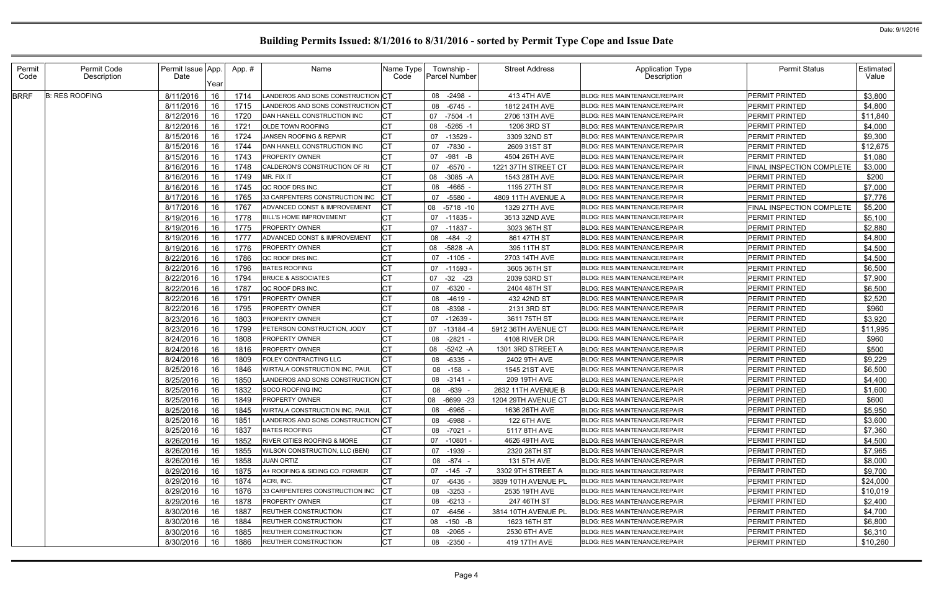| Permit<br>Code | Permit Code<br>Description | Permit Issue App.<br>Date | Year     | App. #       | Name                                    | Name Type<br>Code | Township -<br>Parcel Number |             | <b>Street Address</b>        | Application Type<br>Description                                            | <b>Permit Status</b>             | <b>Estimated</b><br>Value |
|----------------|----------------------------|---------------------------|----------|--------------|-----------------------------------------|-------------------|-----------------------------|-------------|------------------------------|----------------------------------------------------------------------------|----------------------------------|---------------------------|
| <b>BRRF</b>    | <b>B: RES ROOFING</b>      | 8/11/2016                 | 16       | 1714         | LANDEROS AND SONS CONSTRUCTION CT       |                   | 08 -2498 -                  |             | 413 4TH AVE                  | <b>BLDG: RES MAINTENANCE/REPAIR</b>                                        | PERMIT PRINTED                   | \$3,800                   |
|                |                            | 8/11/2016                 | 16       | 1715         | LANDEROS AND SONS CONSTRUCTION CT       |                   | 08 -6745 -                  |             | 1812 24TH AVE                | <b>BLDG: RES MAINTENANCE/REPAIR</b>                                        | PERMIT PRINTED                   | \$4,800                   |
|                |                            | 8/12/2016                 | 16       | 1720         | DAN HANELL CONSTRUCTION INC             | <b>CT</b>         | $-7504 -1$<br>07            |             | 2706 13TH AVE                | <b>BLDG: RES MAINTENANCE/REPAIR</b>                                        | PERMIT PRINTED                   | \$11,840                  |
|                |                            | 8/12/2016                 | 16       | 1721         | OLDE TOWN ROOFING                       | <b>CT</b>         | 08<br>$-5265 - 1$           |             | 1206 3RD ST                  | <b>BLDG: RES MAINTENANCE/REPAIR</b>                                        | PERMIT PRINTED                   | \$4,000                   |
|                |                            | 8/15/2016                 | 16       | 1724         | JANSEN ROOFING & REPAIR                 | <b>CT</b>         | 07<br>$-13529$              |             | 3309 32ND ST                 | <b>BLDG: RES MAINTENANCE/REPAIR</b>                                        | PERMIT PRINTED                   | \$9,300                   |
|                |                            | 8/15/2016                 | 16       | 1744         | DAN HANELL CONSTRUCTION INC             | C <sub>T</sub>    | -7830 -<br>07               |             | 2609 31ST ST                 | <b>BLDG: RES MAINTENANCE/REPAIR</b>                                        | PERMIT PRINTED                   | \$12,675                  |
|                |                            | 8/15/2016                 | 16       | 1743         | <b>PROPERTY OWNER</b>                   | <b>CT</b>         | 07<br>-981 -B               |             | 4504 26TH AVE                | <b>BLDG: RES MAINTENANCE/REPAIR</b>                                        | PERMIT PRINTED                   | \$1,080                   |
|                |                            | 8/16/2016                 | 16       | 1748         | CALDERON'S CONSTRUCTION OF RI           | <b>CT</b>         | 07<br>$-6570$               |             | 1221 37TH STREET CT          | <b>BLDG: RES MAINTENANCE/REPAIR</b>                                        | FINAL INSPECTION COMPLETE        | \$3,000                   |
|                |                            | 8/16/2016                 | 16       | 1749         | MR. FIX IT                              | СT                | 08<br>$-3085 - A$           |             | 1543 28TH AVE                | <b>BLDG: RES MAINTENANCE/REPAIR</b>                                        | PERMIT PRINTED                   | \$200                     |
|                |                            | 8/16/2016                 | 16       | 1745         | QC ROOF DRS INC.                        | <b>CT</b>         | $-4665$ -<br>08             |             | 1195 27TH ST                 | <b>BLDG: RES MAINTENANCE/REPAIR</b>                                        | PERMIT PRINTED                   | \$7,000                   |
|                |                            | 8/17/2016                 | 16       | 1765         | 33 CARPENTERS CONSTRUCTION INC          | CT                | -5580<br>07                 |             | 4809 11TH AVENUE A           | BLDG: RES MAINTENANCE/REPAIR                                               | PERMIT PRINTED                   | \$7,776                   |
|                |                            | 8/17/2016                 | 16       | 1767         | ADVANCED CONST & IMPROVEMENT            | <b>CT</b>         | 08<br>$-5718 - 10$          |             | 1329 27TH AVE                | <b>BLDG: RES MAINTENANCE/REPAIR</b>                                        | FINAL INSPECTION COMPLETE        | \$5,200                   |
|                |                            | 8/19/2016                 | 16       | 1778         | BILL'S HOME IMPROVEMENT                 | C <sub>T</sub>    | 07<br>-11835 -              |             | 3513 32ND AVE                | <b>BLDG: RES MAINTENANCE/REPAIR</b>                                        | PERMIT PRINTED                   | \$5,100                   |
|                |                            | 8/19/2016                 | 16       | 1775         | PROPERTY OWNER                          | <b>CT</b>         | 07 -11837 -                 |             | 3023 36TH ST                 | <b>BLDG: RES MAINTENANCE/REPAIR</b>                                        | PERMIT PRINTED                   | \$2,880                   |
|                |                            | 8/19/2016                 | 16       | 1777         | <b>ADVANCED CONST &amp; IMPROVEMENT</b> | <b>CT</b>         | 08                          | $-484 - 2$  | 861 47TH ST                  | <b>BLDG: RES MAINTENANCE/REPAIR</b>                                        | PERMIT PRINTED                   | \$4,800                   |
|                |                            | 8/19/2016                 | 16       | 1776         | PROPERTY OWNER                          | <b>CT</b>         | 08<br>-5828 -A              |             | 395 11TH ST                  | <b>BLDG: RES MAINTENANCE/REPAIR</b>                                        | PERMIT PRINTED                   | \$4,500                   |
|                |                            | 8/22/2016                 | 16       | 1786         | QC ROOF DRS INC.                        |                   | 07<br>$-1105$ -             |             | 2703 14TH AVE                | <b>BLDG: RES MAINTENANCE/REPAIR</b>                                        | <b>PERMIT PRINTED</b>            | \$4,500                   |
|                |                            |                           |          |              | <b>BATES ROOFING</b>                    | СT                | 07                          |             |                              | <b>BLDG: RES MAINTENANCE/REPAIR</b>                                        |                                  |                           |
|                |                            | 8/22/2016<br>8/22/2016    | 16<br>16 | 1796<br>1794 | <b>BRUCE &amp; ASSOCIATES</b>           | <b>CT</b>         | -11593 -                    | $-32 -23$   | 3605 36TH ST                 | <b>BLDG: RES MAINTENANCE/REPAIR</b>                                        | PERMIT PRINTED<br>PERMIT PRINTED | \$6,500<br>\$7,900        |
|                |                            |                           | 16       |              | QC ROOF DRS INC.                        |                   | 07<br>$-6320$ -<br>07       |             | 2039 53RD ST<br>2404 48TH ST |                                                                            | PERMIT PRINTED                   |                           |
|                |                            | 8/22/2016                 |          | 1787         | PROPERTY OWNER                          | СT                |                             |             |                              | <b>BLDG: RES MAINTENANCE/REPAIR</b><br><b>BLDG: RES MAINTENANCE/REPAIR</b> |                                  | \$6,500                   |
|                |                            | 8/22/2016                 | 16       | 1791         |                                         | <b>CT</b>         | $-4619$ .<br>08             |             | 432 42ND ST                  |                                                                            | PERMIT PRINTED                   | \$2,520                   |
|                |                            | 8/22/2016                 | 16       | 1795         | <b>PROPERTY OWNER</b>                   |                   | 08<br>$-8398$               |             | 2131 3RD ST                  | <b>BLDG: RES MAINTENANCE/REPAIR</b>                                        | PERMIT PRINTED                   | \$960                     |
|                |                            | 8/23/2016                 | 16       | 1803         | <b>PROPERTY OWNER</b>                   | <b>CT</b>         | 07<br>-12639 -              |             | 3611 75TH ST                 | <b>BLDG: RES MAINTENANCE/REPAIR</b>                                        | PERMIT PRINTED                   | \$3,920                   |
|                |                            | 8/23/2016                 | 16       | 1799         | PETERSON CONSTRUCTION, JODY             | C <sub>T</sub>    | 07<br>$-13184 - 4$          |             | 5912 36TH AVENUE CT          | <b>BLDG: RES MAINTENANCE/REPAIR</b>                                        | PERMIT PRINTED                   | \$11,995                  |
|                |                            | 8/24/2016                 | 16       | 1808         | PROPERTY OWNER                          | СT                | 08<br>-2821 -               |             | 4108 RIVER DR                | <b>BLDG: RES MAINTENANCE/REPAIR</b>                                        | PERMIT PRINTED                   | \$960                     |
|                |                            | 8/24/2016                 | 16       | 1816         | PROPERTY OWNER                          | <b>CT</b>         | 08                          | $-5242 - A$ | 1301 3RD STREET A            | <b>BLDG: RES MAINTENANCE/REPAIR</b>                                        | PERMIT PRINTED                   | \$500                     |
|                |                            | 8/24/2016                 | 16       | 1809         | FOLEY CONTRACTING LLC                   | <b>CT</b>         | 08<br>-6335 -               |             | 2402 9TH AVE                 | <b>BLDG: RES MAINTENANCE/REPAIR</b>                                        | PERMIT PRINTED                   | \$9,229                   |
|                |                            | 8/25/2016                 | 16       | 1846         | WIRTALA CONSTRUCTION INC, PAUL          | <b>CT</b>         | 08 -158                     |             | 1545 21ST AVE                | <b>BLDG: RES MAINTENANCE/REPAIR</b>                                        | PERMIT PRINTED                   | \$6,500                   |
|                |                            | 8/25/2016                 | 16       | 1850         | LANDEROS AND SONS CONSTRUCTION CT       |                   | 08<br>-3141 -               |             | 209 19TH AVE                 | <b>BLDG: RES MAINTENANCE/REPAIR</b>                                        | PERMIT PRINTED                   | \$4,400                   |
|                |                            | 8/25/2016                 | 16       | 1832         | SOCO ROOFING INC                        | <b>CT</b>         | 08 -639 -                   |             | 2632 11TH AVENUE B           | <b>BLDG: RES MAINTENANCE/REPAIR</b>                                        | PERMIT PRINTED                   | \$1,600                   |
|                |                            | 8/25/2016 16              |          | 1849         | PROPERTY OWNER                          | $\Gamma$<br>◡     | 08 -6699 -23                |             | 1204 29TH AVENUE CT          | BLDG: RES MAINTENANCE/REPAIR                                               | PERMIT PRINTED                   | \$600                     |
|                |                            | 8/25/2016                 | 16       | 1845         | WIRTALA CONSTRUCTION INC, PAUL          |                   | 08 -6965 -                  |             | 1636 26TH AVE                | <b>BLDG: RES MAINTENANCE/REPAIR</b>                                        | <b>PERMIT PRINTED</b>            | \$5,950                   |
|                |                            | 8/25/2016                 | 16       | 1851         | LANDEROS AND SONS CONSTRUCTION CT       |                   | 08 -6988 -                  |             | 122 6TH AVE                  | <b>BLDG: RES MAINTENANCE/REPAIR</b>                                        | PERMIT PRINTED                   | \$3,600                   |
|                |                            | 8/25/2016                 | 16       | 1837         | <b>BATES ROOFING</b>                    | <b>CT</b>         | 08 -7021 -                  |             | 5117 8TH AVE                 | <b>BLDG: RES MAINTENANCE/REPAIR</b>                                        | PERMIT PRINTED                   | \$7,360                   |
|                |                            | 8/26/2016                 | 16       | 1852         | <b>RIVER CITIES ROOFING &amp; MORE</b>  | <b>CT</b>         | 07 -10801 -                 |             | 4626 49TH AVE                | <b>BLDG: RES MAINTENANCE/REPAIR</b>                                        | PERMIT PRINTED                   | \$4,500                   |
|                |                            | 8/26/2016                 | 16       | 1855         | WILSON CONSTRUCTION, LLC (BEN)          | <b>CT</b>         | 07 -1939 -                  |             | 2320 28TH ST                 | <b>BLDG: RES MAINTENANCE/REPAIR</b>                                        | PERMIT PRINTED                   | \$7,965                   |
|                |                            | 8/26/2016                 | 16       | 1858         | <b>JUAN ORTIZ</b>                       | <b>CT</b>         | 08 -874 -                   |             | 131 5TH AVE                  | <b>BLDG: RES MAINTENANCE/REPAIR</b>                                        | PERMIT PRINTED                   | \$8,000                   |
|                |                            | 8/29/2016                 | 16       | 1875         | A+ ROOFING & SIDING CO. FORMER          | <b>CT</b>         | 07 -145 -7                  |             | 3302 9TH STREET A            | <b>BLDG: RES MAINTENANCE/REPAIR</b>                                        | PERMIT PRINTED                   | \$9,700                   |
|                |                            | 8/29/2016                 | 16       | 1874         | ACRI, INC.                              | <b>CT</b>         | 07 -6435 -                  |             | 3839 10TH AVENUE PL          | <b>BLDG: RES MAINTENANCE/REPAIR</b>                                        | PERMIT PRINTED                   | \$24,000                  |
|                |                            | 8/29/2016                 | 16       | 1876         | 33 CARPENTERS CONSTRUCTION INC          | СT                | 08 -3253 -                  |             | 2535 19TH AVE                | <b>BLDG: RES MAINTENANCE/REPAIR</b>                                        | PERMIT PRINTED                   | \$10,019                  |
|                |                            | 8/29/2016                 | 16       | 1878         | <b>PROPERTY OWNER</b>                   | <b>CT</b>         | 08 -6213 -                  |             | 247 46TH ST                  | <b>BLDG: RES MAINTENANCE/REPAIR</b>                                        | PERMIT PRINTED                   | \$2,400                   |
|                |                            | 8/30/2016                 | 16       | 1887         | REUTHER CONSTRUCTION                    | <b>CT</b>         | 07 -6456 -                  |             | 3814 10TH AVENUE PL          | <b>BLDG: RES MAINTENANCE/REPAIR</b>                                        | PERMIT PRINTED                   | \$4,700                   |
|                |                            | 8/30/2016                 | 16       | 1884         | <b>REUTHER CONSTRUCTION</b>             | СT                | 08 -150 -B                  |             | 1623 16TH ST                 | <b>BLDG: RES MAINTENANCE/REPAIR</b>                                        | PERMIT PRINTED                   | \$6,800                   |
|                |                            | 8/30/2016                 | 16       | 1885         | REUTHER CONSTRUCTION                    | <b>CT</b>         | 08 -2065 -                  |             | 2530 6TH AVE                 | <b>BLDG: RES MAINTENANCE/REPAIR</b>                                        | PERMIT PRINTED                   | \$6,310                   |
|                |                            | 8/30/2016                 | 16       | 1886         | <b>REUTHER CONSTRUCTION</b>             | <b>CT</b>         | 08 -2350 -                  |             | 419 17TH AVE                 | <b>BLDG: RES MAINTENANCE/REPAIR</b>                                        | PERMIT PRINTED                   | \$10,260                  |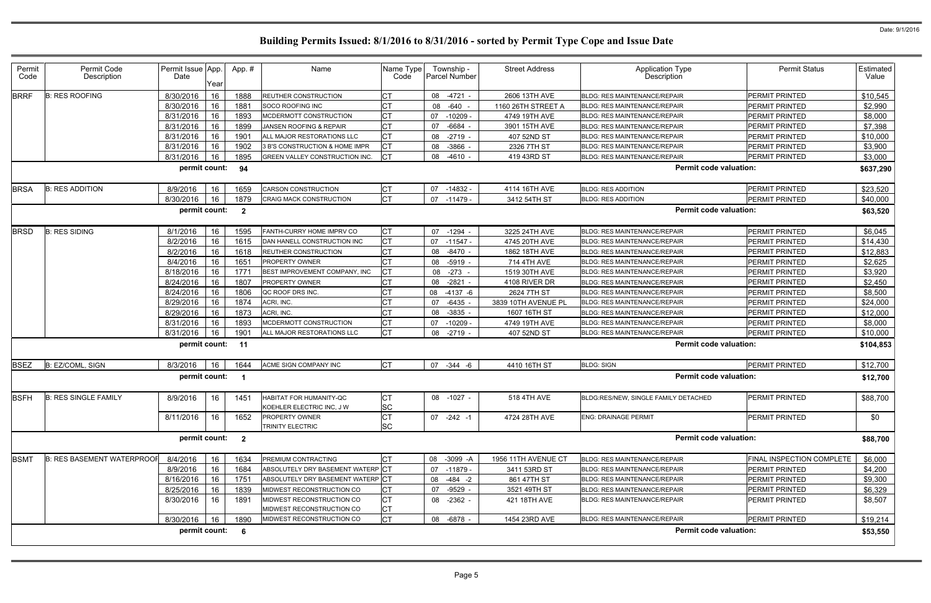| Permit<br>Code | Permit Code<br>Description        | Permit Issue App.<br>Date | Year | App.#                   | Name                                                 | Name Type<br>Code      | Township -<br>Parcel Number |          | <b>Street Address</b> | <b>Application Type</b><br><b>Description</b> | <b>Permit Status</b>      | Estimated<br>Value |
|----------------|-----------------------------------|---------------------------|------|-------------------------|------------------------------------------------------|------------------------|-----------------------------|----------|-----------------------|-----------------------------------------------|---------------------------|--------------------|
| <b>BRRF</b>    | <b>B: RES ROOFING</b>             | 8/30/2016                 | 16   | 1888                    | <b>REUTHER CONSTRUCTION</b>                          |                        | $-4721 -$<br>08             |          | 2606 13TH AVE         | <b>BLDG: RES MAINTENANCE/REPAIR</b>           | PERMIT PRINTED            | \$10,545           |
|                |                                   | 8/30/2016                 | 16   | 1881                    | SOCO ROOFING INC                                     | <b>CT</b>              | 08 -640 -                   |          | 1160 26TH STREET A    | <b>BLDG: RES MAINTENANCE/REPAIR</b>           | PERMIT PRINTED            | \$2,990            |
|                |                                   | 8/31/2016                 | 16   | 1893                    | MCDERMOTT CONSTRUCTION                               | <b>CT</b>              | 07<br>$-10209$              |          | 4749 19TH AVE         | <b>BLDG: RES MAINTENANCE/REPAIR</b>           | PERMIT PRINTED            | \$8,000            |
|                |                                   | 8/31/2016                 | 16   | 1899                    | JANSEN ROOFING & REPAIR                              | <b>CT</b>              | 07<br>$-6684$               |          | 3901 15TH AVE         | BLDG: RES MAINTENANCE/REPAIR                  | PERMIT PRINTED            | \$7,398            |
|                |                                   | 8/31/2016                 | 16   | 1901                    | ALL MAJOR RESTORATIONS LLC                           | <b>CT</b>              | $-2719$ -<br>08             |          | 407 52ND ST           | <b>BLDG: RES MAINTENANCE/REPAIR</b>           | PERMIT PRINTED            | \$10,000           |
|                |                                   | 8/31/2016                 | 16   | 1902                    | 3 B'S CONSTRUCTION & HOME IMPR                       | <b>CT</b>              | 08 - 3866                   |          | 2326 7TH ST           | <b>BLDG: RES MAINTENANCE/REPAIR</b>           | PERMIT PRINTED            | \$3,900            |
|                |                                   | 8/31/2016                 | 16   | 1895                    | <b>GREEN VALLEY CONSTRUCTION INC.</b>                | <b>CT</b>              | 08 -4610 -                  |          | 419 43RD ST           | <b>BLDG: RES MAINTENANCE/REPAIR</b>           | PERMIT PRINTED            | \$3,000            |
|                |                                   | permit count:             |      | 94                      |                                                      |                        |                             |          |                       | <b>Permit code valuation:</b>                 |                           | \$637,290          |
| <b>BRSA</b>    | <b>B: RES ADDITION</b>            | 8/9/2016                  | 16   | 1659                    | <b>CARSON CONSTRUCTION</b>                           | <b>CT</b>              | 07<br>$-14832 -$            |          | 4114 16TH AVE         | <b>BLDG: RES ADDITION</b>                     | PERMIT PRINTED            | \$23,520           |
|                |                                   | 8/30/2016                 | 16   | 1879                    | CRAIG MACK CONSTRUCTION                              | <b>CT</b>              | 07<br>-11479 -              |          | 3412 54TH ST          | <b>BLDG: RES ADDITION</b>                     | PERMIT PRINTED            | \$40,000           |
|                |                                   | permit count:             |      | $\overline{\mathbf{2}}$ |                                                      |                        |                             |          |                       | <b>Permit code valuation:</b>                 |                           | \$63,520           |
| <b>BRSD</b>    | <b>B: RES SIDING</b>              | 8/1/2016                  | 16   | 1595                    | FANTH-CURRY HOME IMPRV CO                            | <b>CT</b>              | 07 -1294 -                  |          | 3225 24TH AVE         | <b>BLDG: RES MAINTENANCE/REPAIR</b>           | PERMIT PRINTED            | \$6,045            |
|                |                                   | 8/2/2016                  | 16   | 1615                    | DAN HANELL CONSTRUCTION INC                          | <b>CT</b>              | $-11547 -$<br>07            |          | 4745 20TH AVE         | <b>BLDG: RES MAINTENANCE/REPAIR</b>           | PERMIT PRINTED            | \$14,430           |
|                |                                   | 8/2/2016                  | 16   | 1618                    | <b>REUTHER CONSTRUCTION</b>                          | <b>CT</b>              | 08<br>-8470 -               |          | 1862 18TH AVE         | <b>BLDG: RES MAINTENANCE/REPAIR</b>           | PERMIT PRINTED            | \$12,883           |
|                |                                   | 8/4/2016                  | 16   | 1651                    | PROPERTY OWNER                                       | <b>CT</b>              | 08 -5919 -                  |          | 714 4TH AVE           | <b>BLDG: RES MAINTENANCE/REPAIR</b>           | PERMIT PRINTED            | \$2,625            |
|                |                                   | 8/18/2016                 | 16   | 1771                    | BEST IMPROVEMENT COMPANY, INC                        | CT                     | 08 -273                     |          | 1519 30TH AVE         | <b>BLDG: RES MAINTENANCE/REPAIR</b>           | PERMIT PRINTED            | \$3,920            |
|                |                                   | 8/24/2016                 | 16   | 1807                    | <b>PROPERTY OWNER</b>                                | <b>CT</b>              | $-2821$<br>08               |          | 4108 RIVER DR         | <b>BLDG: RES MAINTENANCE/REPAIR</b>           | PERMIT PRINTED            | \$2,450            |
|                |                                   | 8/24/2016                 | 16   | 1806                    | QC ROOF DRS INC.                                     | СT                     | 08                          | -4137 -6 | 2624 7TH ST           | <b>BLDG: RES MAINTENANCE/REPAIR</b>           | PERMIT PRINTED            | \$8,500            |
|                |                                   | 8/29/2016                 | 16   | 1874                    | ACRI, INC.                                           | CT                     | 07<br>$-6435$               |          | 3839 10TH AVENUE PL   | <b>BLDG: RES MAINTENANCE/REPAIR</b>           | PERMIT PRINTED            | \$24,000           |
|                |                                   | 8/29/2016                 | 16   | 1873                    | ACRI, INC.                                           |                        | $-3835$ -<br>08             |          | 1607 16TH ST          | <b>BLDG: RES MAINTENANCE/REPAIR</b>           | PERMIT PRINTED            | \$12,000           |
|                |                                   | 8/31/2016                 | 16   | 1893                    | MCDERMOTT CONSTRUCTION                               | <b>CT</b>              | 07<br>$-10209 -$            |          | 4749 19TH AVE         | <b>BLDG: RES MAINTENANCE/REPAIR</b>           | PERMIT PRINTED            | \$8,000            |
|                |                                   | 8/31/2016                 | 16   | 1901                    | ALL MAJOR RESTORATIONS LLC                           | <b>CT</b>              | 08<br>$-2719$ -             |          | 407 52ND ST           | <b>BLDG: RES MAINTENANCE/REPAIR</b>           | PERMIT PRINTED            | \$10,000           |
|                |                                   | permit count:             |      | 11                      |                                                      |                        |                             |          |                       | <b>Permit code valuation:</b>                 |                           | \$104,853          |
| <b>BSEZ</b>    | B: EZ/COML, SIGN                  | 8/3/2016                  | 16   | 1644                    | ACME SIGN COMPANY INC                                | <b>CT</b>              | 07 -344 -6                  |          | 4410 16TH ST          | <b>BLDG: SIGN</b>                             | PERMIT PRINTED            | \$12,700           |
|                |                                   | permit count:             |      |                         |                                                      |                        |                             |          |                       | <b>Permit code valuation:</b>                 |                           | \$12,700           |
| <b>BSFH</b>    | <b>B: RES SINGLE FAMILY</b>       | 8/9/2016                  | 16   | 1451                    | HABITAT FOR HUMANITY-QC<br>KOEHLER ELECTRIC INC, J W | <b>CT</b><br><b>SC</b> | 08 -1027 -                  |          | <b>518 4TH AVE</b>    | BLDG:RES/NEW, SINGLE FAMILY DETACHED          | PERMIT PRINTED            | \$88,700           |
|                |                                   | 8/11/2016                 | 16   | 1652                    | <b>PROPERTY OWNER</b><br><b>TRINITY ELECTRIC</b>     | <b>CT</b><br><b>SC</b> | 07 -242 -1                  |          | 4724 28TH AVE         | <b>ENG: DRAINAGE PERMIT</b>                   | PERMIT PRINTED            | \$0                |
|                |                                   | permit count:             |      | $\overline{\mathbf{2}}$ |                                                      |                        |                             |          |                       | <b>Permit code valuation:</b>                 |                           | \$88,700           |
| <b>BSMT</b>    | <b>B: RES BASEMENT WATERPROOF</b> | 8/4/2016                  | 16   | 1634                    | <b>PREMIUM CONTRACTING</b>                           | <b>CT</b>              | 08 -3099 -A                 |          | 1956 11TH AVENUE CT   | <b>BLDG: RES MAINTENANCE/REPAIR</b>           | FINAL INSPECTION COMPLETE | \$6,000            |
|                |                                   | 8/9/2016                  | 16   | 1684                    | ABSOLUTELY DRY BASEMENT WATERP CT                    |                        | 07 -11879 -                 |          | 3411 53RD ST          | <b>BLDG: RES MAINTENANCE/REPAIR</b>           | PERMIT PRINTED            | \$4,200            |
|                |                                   | 8/16/2016                 | 16   | 1751                    | ABSOLUTELY DRY BASEMENT WATERP CT                    |                        | $-484 - 2$<br>08            |          | 861 47TH ST           | <b>BLDG: RES MAINTENANCE/REPAIR</b>           | PERMIT PRINTED            | \$9,300            |
|                |                                   | 8/25/2016                 | 16   | 1839                    | MIDWEST RECONSTRUCTION CO                            | <b>CT</b>              | 07 -9529 -                  |          | 3521 49TH ST          | <b>BLDG: RES MAINTENANCE/REPAIR</b>           | PERMIT PRINTED            | \$6,329            |
|                |                                   | 8/30/2016                 | 16   | 1891                    | MIDWEST RECONSTRUCTION CO                            | <b>CT</b>              | 08 -2362 -                  |          | 421 18TH AVE          | <b>BLDG: RES MAINTENANCE/REPAIR</b>           | PERMIT PRINTED            | \$8,507            |
|                |                                   |                           |      |                         | MIDWEST RECONSTRUCTION CO                            | СT                     |                             |          |                       |                                               |                           |                    |
|                |                                   | 8/30/2016                 | 16   | 1890                    | MIDWEST RECONSTRUCTION CO                            | <b>CT</b>              | 08 -6878 -                  |          | 1454 23RD AVE         | <b>BLDG: RES MAINTENANCE/REPAIR</b>           | PERMIT PRINTED            | \$19,214           |
|                |                                   | permit count:             |      | 6                       |                                                      |                        |                             |          |                       | <b>Permit code valuation:</b>                 |                           | \$53,550           |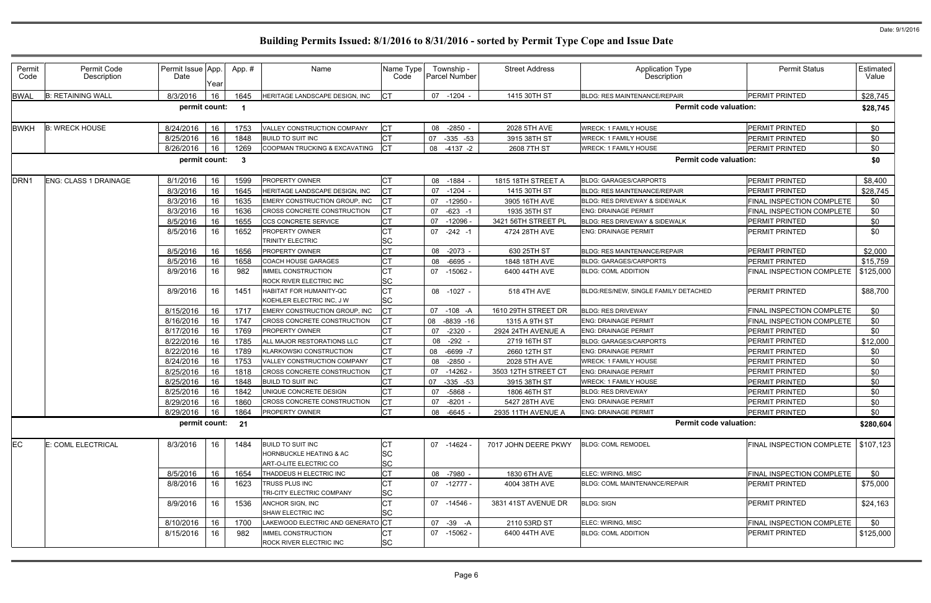| Permit<br>Code   | Permit Code<br>Description   | Permit Issue App.<br>Date | Year | App.# | Name                                                 | Name Type<br>Code      | Township -<br><b>Parcel Number</b> | <b>Street Address</b> | Application Type<br>Description      | <b>Permit Status</b>                  | Estimated<br>Value |
|------------------|------------------------------|---------------------------|------|-------|------------------------------------------------------|------------------------|------------------------------------|-----------------------|--------------------------------------|---------------------------------------|--------------------|
| <b>BWAL</b>      | <b>B: RETAINING WALL</b>     | 8/3/2016                  | 16   | 1645  | HERITAGE LANDSCAPE DESIGN, INC                       | IСT                    | 07 -1204 -                         | 1415 30TH ST          | <b>BLDG: RES MAINTENANCE/REPAIR</b>  | PERMIT PRINTED                        | \$28,745           |
|                  |                              | permit count:             |      | - 1   |                                                      |                        |                                    |                       | <b>Permit code valuation:</b>        |                                       | \$28,745           |
| <b>BWKH</b>      | <b>B: WRECK HOUSE</b>        | 8/24/2016                 | 16   | 1753  | VALLEY CONSTRUCTION COMPANY                          | IСТ                    | 08 -2850 -                         | 2028 5TH AVE          | <b>WRECK: 1 FAMILY HOUSE</b>         | PERMIT PRINTED                        | \$0                |
|                  |                              | 8/25/2016                 | 16   | 1848  | <b>BUILD TO SUIT INC</b>                             | <b>CT</b>              | $-335 -53$<br>07                   | 3915 38TH ST          | <b>NRECK: 1 FAMILY HOUSE</b>         | PERMIT PRINTED                        | \$0                |
|                  |                              | 8/26/2016                 | 16   | 1269  | COOPMAN TRUCKING & EXCAVATING                        | IСТ                    | 08 -4137 -2                        | 2608 7TH ST           | <b>NRECK: 1 FAMILY HOUSE</b>         | PERMIT PRINTED                        | \$0                |
|                  |                              | permit count:             |      | -3    |                                                      |                        |                                    |                       | <b>Permit code valuation:</b>        |                                       | \$0                |
| DRN <sub>1</sub> | <b>ENG: CLASS 1 DRAINAGE</b> | 8/1/2016                  | 16   | 1599  | PROPERTY OWNER                                       | <b>CT</b>              | 08 -1884 -                         | 1815 18TH STREET A    | <b>BLDG: GARAGES/CARPORTS</b>        | PERMIT PRINTED                        | \$8,400            |
|                  |                              | 8/3/2016                  | 16   | 1645  | <b>HERITAGE LANDSCAPE DESIGN, INC</b>                | <b>CT</b>              | 07<br>$-1204$ -                    | 1415 30TH ST          | <b>BLDG: RES MAINTENANCE/REPAIR</b>  | PERMIT PRINTED                        | \$28,745           |
|                  |                              | 8/3/2016                  | 16   | 1635  | EMERY CONSTRUCTION GROUP, INC                        | СT                     | 07<br>-12950 -                     | 3905 16TH AVE         | BLDG: RES DRIVEWAY & SIDEWALK        | FINAL INSPECTION COMPLETE             | \$0                |
|                  |                              | 8/3/2016                  | 16   | 1636  | CROSS CONCRETE CONSTRUCTION                          | СT                     | $-623 - 1$<br>07                   | 1935 35TH ST          | <b>ENG: DRAINAGE PERMIT</b>          | FINAL INSPECTION COMPLETE             | \$0                |
|                  |                              | 8/5/2016                  | 16   | 1655  | CCS CONCRETE SERVICE                                 | IСТ                    | $-12096$<br>07                     | 3421 56TH STREET PL   | BLDG: RES DRIVEWAY & SIDEWALK        | PERMIT PRINTED                        | \$0                |
|                  |                              | 8/5/2016                  | 16   | 1652  | <b>PROPERTY OWNER</b>                                |                        | 07<br>$-242 - 1$                   | 4724 28TH AVE         | <b>ENG: DRAINAGE PERMIT</b>          | PERMIT PRINTED                        | \$0                |
|                  |                              |                           |      |       | TRINITY ELECTRIC                                     | <b>SC</b>              |                                    |                       |                                      |                                       |                    |
|                  |                              | 8/5/2016                  | 16   | 1656  | PROPERTY OWNER                                       | СT                     | 08 -2073 -                         | 630 25TH ST           | <b>BLDG: RES MAINTENANCE/REPAIR</b>  | PERMIT PRINTED                        | \$2,000            |
|                  |                              | 8/5/2016                  | 16   | 1658  | COACH HOUSE GARAGES                                  | <b>CT</b>              | $-6695$<br>08                      | 1848 18TH AVE         | <b>BLDG: GARAGES/CARPORTS</b>        | PERMIT PRINTED                        | \$15,759           |
|                  |                              | 8/9/2016                  | 16   | 982   | MMEL CONSTRUCTION<br>ROCK RIVER ELECTRIC INC         | СT<br><b>SC</b>        | 07 -15062 -                        | 6400 44TH AVE         | <b>BLDG: COML ADDITION</b>           | FINAL INSPECTION COMPLETE             | \$125,000          |
|                  |                              | 8/9/2016                  | 16   | 1451  | HABITAT FOR HUMANITY-QC<br>KOEHLER ELECTRIC INC, J W | <b>CT</b><br><b>SC</b> | 08 -1027 -                         | 518 4TH AVE           | BLDG:RES/NEW, SINGLE FAMILY DETACHED | PERMIT PRINTED                        | \$88,700           |
|                  |                              | 8/15/2016                 | 16   | 1717  | EMERY CONSTRUCTION GROUP, INC                        | <b>CT</b>              | $-108 - A$<br>07                   | 1610 29TH STREET DR   | <b>BLDG: RES DRIVEWAY</b>            | FINAL INSPECTION COMPLETE             | \$0                |
|                  |                              | 8/16/2016                 | 16   | 1747  | CROSS CONCRETE CONSTRUCTION                          | СT                     | 08<br>$-8839 - 16$                 | 1315 A 9TH ST         | ENG: DRAINAGE PERMIT                 | FINAL INSPECTION COMPLETE             | \$0                |
|                  |                              | 8/17/2016                 | 16   | 1769  | <b>PROPERTY OWNER</b>                                | IСТ                    | $-2320$<br>07                      | 2924 24TH AVENUE A    | <b>ENG: DRAINAGE PERMIT</b>          | PERMIT PRINTED                        | \$0                |
|                  |                              | 8/22/2016                 | 16   | 1785  | ALL MAJOR RESTORATIONS LLC                           | <b>CT</b>              | $-292$<br>08                       | 2719 16TH ST          | <b>BLDG: GARAGES/CARPORTS</b>        | PERMIT PRINTED                        | \$12,000           |
|                  |                              | 8/22/2016                 | 16   | 1789  | <b>KLARKOWSKI CONSTRUCTION</b>                       | IСТ                    | 08<br>-6699 -7                     | 2660 12TH ST          | <b>ENG: DRAINAGE PERMIT</b>          | PERMIT PRINTED                        | \$0                |
|                  |                              | 8/24/2016                 | 16   | 1753  | /ALLEY CONSTRUCTION COMPANY                          | Iст                    | $-2850$<br>08                      | 2028 5TH AVE          | <b>WRECK: 1 FAMILY HOUSE</b>         | PERMIT PRINTED                        | \$0                |
|                  |                              | 8/25/2016                 | 16   | 1818  | CROSS CONCRETE CONSTRUCTION                          | <b>CT</b>              | $-14262$<br>07                     | 3503 12TH STREET CT   | <b>ENG: DRAINAGE PERMIT</b>          | PERMIT PRINTED                        | \$0                |
|                  |                              | 8/25/2016                 | 16   | 1848  | <b>BUILD TO SUIT INC</b>                             | <b>CT</b>              | 07<br>$-335 -53$                   | 3915 38TH ST          | <b>WRECK: 1 FAMILY HOUSE</b>         | PERMIT PRINTED                        | \$0                |
|                  |                              | 8/25/2016                 | 16   | 1842  | UNIQUE CONCRETE DESIGN                               | СT                     | 07<br>-5868                        | 1806 46TH ST          | <b>BLDG: RES DRIVEWAY</b>            | PERMIT PRINTED                        | \$0                |
|                  |                              | 8/29/2016 16              |      | 1860  | CROSS CONCRETE CONSTRUCTION                          | <b>CT</b>              | 07 -8201 -                         | 5427 28TH AVE         | <b>ENG: DRAINAGE PERMIT</b>          | PERMIT PRINTED                        | \$0                |
|                  |                              | 8/29/2016                 | 16   | 1864  | PROPERTY OWNER                                       | <b>CT</b>              | 08 -6645 -                         | 2935 11TH AVENUE A    | <b>ENG: DRAINAGE PERMIT</b>          | PERMIT PRINTED                        | \$0                |
|                  |                              | permit count: 21          |      |       |                                                      |                        |                                    |                       | <b>Permit code valuation:</b>        |                                       | \$280,604          |
| <b>EC</b>        | E: COML ELECTRICAL           | 8/3/2016                  | 16   | 1484  | <b>BUILD TO SUIT INC</b>                             | СT                     | $07 - 14624$                       | 7017 JOHN DEERE PKWY  | <b>BLDG: COML REMODEL</b>            | FINAL INSPECTION COMPLETE   \$107,123 |                    |
|                  |                              |                           |      |       | HORNBUCKLE HEATING & AC                              | <b>SC</b>              |                                    |                       |                                      |                                       |                    |
|                  |                              |                           |      |       | ART-O-LITE ELECTRIC CO                               | <b>SC</b>              |                                    |                       |                                      |                                       |                    |
|                  |                              | 8/5/2016                  | 16   | 1654  | THADDEUS H ELECTRIC INC                              | <b>CT</b>              | 08 -7980 -                         | 1830 6TH AVE          | ELEC: WIRING, MISC                   | FINAL INSPECTION COMPLETE             | \$0                |
|                  |                              | 8/8/2016                  | 16   | 1623  | TRUSS PLUS INC<br>TRI-CITY ELECTRIC COMPANY          | СT<br><b>SC</b>        | 07 -12777 -                        | 4004 38TH AVE         | <b>BLDG: COML MAINTENANCE/REPAIR</b> | <b>PERMIT PRINTED</b>                 | \$75,000           |
|                  |                              | 8/9/2016                  | 16   | 1536  | ANCHOR SIGN, INC<br>SHAW ELECTRIC INC                | <b>CT</b><br><b>SC</b> | 07 -14546 -                        | 3831 41ST AVENUE DR   | <b>BLDG: SIGN</b>                    | PERMIT PRINTED                        | \$24,163           |
|                  |                              | 8/10/2016                 | 16   | 1700  | LAKEWOOD ELECTRIC AND GENERATO CT                    |                        | 07 -39 -A                          | 2110 53RD ST          | ELEC: WIRING, MISC                   | FINAL INSPECTION COMPLETE             | \$0                |
|                  |                              | 8/15/2016                 | 16   | 982   | MMEL CONSTRUCTION<br>ROCK RIVER ELECTRIC INC         | <b>SC</b>              | 07 -15062 -                        | 6400 44TH AVE         | <b>BLDG: COML ADDITION</b>           | PERMIT PRINTED                        | \$125,000          |
|                  |                              |                           |      |       |                                                      |                        |                                    |                       |                                      |                                       |                    |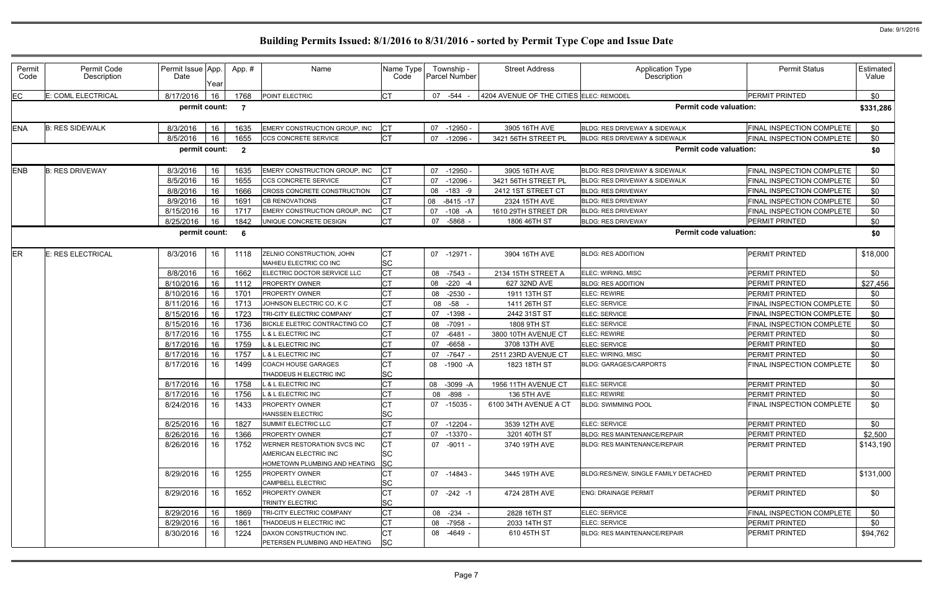| Permit<br>Code | Permit Code<br>Description | Permit Issue App.<br>Date | Year | App.#                   | Name                                                                               | Name Type<br>Code      |    | Township -<br><b>Parcel Number</b> | <b>Street Address</b>                   | <b>Application Type</b><br>Description   | <b>Permit Status</b>      | Estimated<br>Value |
|----------------|----------------------------|---------------------------|------|-------------------------|------------------------------------------------------------------------------------|------------------------|----|------------------------------------|-----------------------------------------|------------------------------------------|---------------------------|--------------------|
| EC             | E: COML ELECTRICAL         | 8/17/2016                 | 16   | 1768                    | POINT ELECTRIC                                                                     | <b>CT</b>              |    | 07 -544                            | 4204 AVENUE OF THE CITIES ELEC: REMODEL |                                          | <b>PERMIT PRINTED</b>     | \$0                |
|                |                            | permit count:             |      | - 7                     |                                                                                    |                        |    |                                    |                                         | <b>Permit code valuation:</b>            |                           | \$331,286          |
| <b>ENA</b>     | <b>B: RES SIDEWALK</b>     | 8/3/2016                  | 16   | 1635                    | <b>EMERY CONSTRUCTION GROUP, INC</b>                                               | <b>CT</b>              | 07 | $-12950 -$                         | 3905 16TH AVE                           | BLDG: RES DRIVEWAY & SIDEWALK            | FINAL INSPECTION COMPLETE | \$0                |
|                |                            | 8/5/2016                  | 16   | 1655                    | <b>CCS CONCRETE SERVICE</b>                                                        | <b>CT</b>              | 07 | $-12096$                           | 3421 56TH STREET PL                     | <b>BLDG: RES DRIVEWAY &amp; SIDEWALK</b> | FINAL INSPECTION COMPLETE | \$0                |
|                |                            | permit count:             |      | $\overline{\mathbf{2}}$ |                                                                                    |                        |    |                                    |                                         | <b>Permit code valuation:</b>            |                           | \$0                |
| <b>ENB</b>     | <b>B: RES DRIVEWAY</b>     | 8/3/2016                  | 16   | 1635                    | EMERY CONSTRUCTION GROUP, INC                                                      | <b>CT</b>              | 07 | $-12950$                           | 3905 16TH AVE                           | BLDG: RES DRIVEWAY & SIDEWALK            | FINAL INSPECTION COMPLETE | \$0                |
|                |                            | 8/5/2016                  | 16   | 1655                    | <b>CCS CONCRETE SERVICE</b>                                                        | СT                     | 07 | $-12096$                           | 3421 56TH STREET PL                     | <b>BLDG: RES DRIVEWAY &amp; SIDEWALK</b> | FINAL INSPECTION COMPLETE | \$0                |
|                |                            | 8/8/2016                  | 16   | 1666                    | CROSS CONCRETE CONSTRUCTION                                                        | <b>CT</b>              |    | 08 -183 -9                         | 2412 1ST STREET CT                      | <b>BLDG: RES DRIVEWAY</b>                | FINAL INSPECTION COMPLETE | \$0                |
|                |                            | 8/9/2016                  | 16   | 1691                    | <b>CB RENOVATIONS</b>                                                              | <b>CT</b>              | 08 | $-8415 - 17$                       | 2324 15TH AVE                           | <b>BLDG: RES DRIVEWAY</b>                | FINAL INSPECTION COMPLETE | \$0                |
|                |                            | 8/15/2016                 | 16   | 1717                    | <b>EMERY CONSTRUCTION GROUP, INC</b>                                               | СT                     | 07 | $-108 - A$                         | 1610 29TH STREET DR                     | <b>BLDG: RES DRIVEWAY</b>                | FINAL INSPECTION COMPLETE | \$0                |
|                |                            | 8/25/2016                 | 16   | 1842                    | UNIQUE CONCRETE DESIGN                                                             | <b>CT</b>              | 07 | -5868                              | 1806 46TH ST                            | <b>BLDG: RES DRIVEWAY</b>                | PERMIT PRINTED            | \$0                |
|                |                            | permit count:             |      | - 6                     |                                                                                    |                        |    |                                    |                                         | <b>Permit code valuation:</b>            |                           | \$0                |
| ER             | E: RES ELECTRICAL          | 8/3/2016                  | 16   | 1118                    | ZELNIO CONSTRUCTION, JOHN<br>MAHIEU ELECTRIC CO INC                                | <b>CT</b><br><b>SC</b> |    | 07 -12971 -                        | 3904 16TH AVE                           | <b>BLDG: RES ADDITION</b>                | <b>PERMIT PRINTED</b>     | \$18,000           |
|                |                            | 8/8/2016                  | 16   | 1662                    | ELECTRIC DOCTOR SERVICE LLC                                                        | <b>CT</b>              |    | 08 -7543 -                         | 2134 15TH STREET A                      | ELEC: WIRING, MISC                       | <b>PERMIT PRINTED</b>     | \$0                |
|                |                            | 8/10/2016                 | 16   | 1112                    | <b>PROPERTY OWNER</b>                                                              | СT                     | 08 | $-220 - 4$                         | 627 32ND AVE                            | <b>BLDG: RES ADDITION</b>                | PERMIT PRINTED            | \$27,456           |
|                |                            | 8/10/2016                 | 16   | 1701                    | PROPERTY OWNER                                                                     | СT                     | 08 | $-2530 -$                          | 1911 13TH ST                            | <b>ELEC: REWIRE</b>                      | PERMIT PRINTED            | \$0                |
|                |                            | 8/11/2016                 | 16   | 1713                    | JOHNSON ELECTRIC CO, K C                                                           | СT                     |    | 08 -58<br>$\overline{\phantom{a}}$ | 1411 26TH ST                            | ELEC: SERVICE                            | FINAL INSPECTION COMPLETE | \$0                |
|                |                            | 8/15/2016                 | 16   | 1723                    | TRI-CITY ELECTRIC COMPANY                                                          | СT                     |    | 07 -1398 -                         | 2442 31ST ST                            | ELEC: SERVICE                            | FINAL INSPECTION COMPLETE | \$0                |
|                |                            | 8/15/2016                 | 16   | 1736                    | <b>BICKLE ELETRIC CONTRACTING CO</b>                                               | <b>CT</b>              | 08 | $-7091 -$                          | 1808 9TH ST                             | ELEC: SERVICE                            | FINAL INSPECTION COMPLETE | \$0                |
|                |                            | 8/17/2016                 | 16   | 1755                    | L & L ELECTRIC INC                                                                 | СT                     | 07 | $-6481 -$                          | 3800 10TH AVENUE CT                     | ELEC: REWIRE                             | PERMIT PRINTED            | \$0                |
|                |                            | 8/17/2016                 | 16   | 1759                    | & L ELECTRIC INC                                                                   | СT                     | 07 | $-6658 -$                          | 3708 13TH AVE                           | ELEC: SERVICE                            | <b>PERMIT PRINTED</b>     | \$0                |
|                |                            | 8/17/2016                 | 16   | 1757                    | <b>&amp; L ELECTRIC INC</b>                                                        | СT                     | 07 | -7647 -                            | 2511 23RD AVENUE CT                     | ELEC: WIRING, MISC                       | PERMIT PRINTED            | \$0                |
|                |                            | 8/17/2016                 | 16   | 1499                    | <b>COACH HOUSE GARAGES</b><br>THADDEUS H ELECTRIC INC                              | СT<br><b>SC</b>        |    | 08 -1900 -A                        | 1823 18TH ST                            | <b>BLDG: GARAGES/CARPORTS</b>            | FINAL INSPECTION COMPLETE | \$0                |
|                |                            | 8/17/2016                 | 16   | 1758                    | L & L ELECTRIC INC                                                                 | СT                     | 08 | -3099 -A                           | 1956 11TH AVENUE CT                     | ELEC: SERVICE                            | <b>PERMIT PRINTED</b>     | \$0                |
|                |                            | 8/17/2016                 | 16   | 1756                    | <b>&amp; L ELECTRIC INC</b>                                                        | СT                     |    | 08 -898                            | 136 5TH AVE                             | <b>ELEC: REWIRE</b>                      | <b>PERMIT PRINTED</b>     | \$0                |
|                |                            | 8/24/2016   16            |      | 1433                    | PROPERTY OWNER<br><b>HANSSEN ELECTRIC</b>                                          | ЮI<br><b>SC</b>        |    | 07 -15035 -                        | 6100 34TH AVENUE A CT                   | <b>BLDG: SWIMMING POOL</b>               | FINAL INSPECTION COMPLETE | \$0                |
|                |                            | 8/25/2016                 | 16   | 1827                    | <b>SUMMIT ELECTRIC LLC</b>                                                         | СT                     | 07 | -12204 -                           | 3539 12TH AVE                           | ELEC: SERVICE                            | PERMIT PRINTED            | \$0                |
|                |                            | 8/26/2016                 | 16   | 1366                    | <b>PROPERTY OWNER</b>                                                              | <b>CT</b>              | 07 | -13370 -                           | 3201 40TH ST                            | <b>BLDG: RES MAINTENANCE/REPAIR</b>      | PERMIT PRINTED            | \$2,500            |
|                |                            | 8/26/2016                 | 16   | 1752                    | WERNER RESTORATION SVCS INC<br>AMERICAN ELECTRIC INC                               | <b>CT</b><br><b>SC</b> |    | 07 -9011 -                         | 3740 19TH AVE                           | <b>BLDG: RES MAINTENANCE/REPAIR</b>      | PERMIT PRINTED            | \$143,190          |
|                |                            | 8/29/2016                 | 16   | 1255                    | HOMETOWN PLUMBING AND HEATING<br><b>PROPERTY OWNER</b><br><b>CAMPBELL ELECTRIC</b> | <b>SC</b><br>СT<br>SC  |    | 07 -14843 -                        | 3445 19TH AVE                           | BLDG:RES/NEW, SINGLE FAMILY DETACHED     | <b>PERMIT PRINTED</b>     | \$131,000          |
|                |                            | 8/29/2016                 | 16   | 1652                    | <b>PROPERTY OWNER</b><br><b>TRINITY ELECTRIC</b>                                   | <b>CT</b><br><b>SC</b> |    | $07 -242 -1$                       | 4724 28TH AVE                           | <b>ENG: DRAINAGE PERMIT</b>              | <b>PERMIT PRINTED</b>     | \$0                |
|                |                            | 8/29/2016                 | 16   | 1869                    | TRI-CITY ELECTRIC COMPANY                                                          | <b>CT</b>              |    | 08 -234 -                          | 2828 16TH ST                            | <b>ELEC: SERVICE</b>                     | FINAL INSPECTION COMPLETE | \$0                |
|                |                            | 8/29/2016                 | 16   | 1861                    | THADDEUS H ELECTRIC INC                                                            | СT                     |    | 08 -7958 -                         | 2033 14TH ST                            | ELEC: SERVICE                            | PERMIT PRINTED            | \$0                |
|                |                            | 8/30/2016                 | 16   | 1224                    | DAXON CONSTRUCTION INC.<br>PETERSEN PLUMBING AND HEATING                           | <b>CT</b><br><b>SC</b> |    | 08 -4649 -                         | 610 45TH ST                             | <b>BLDG: RES MAINTENANCE/REPAIR</b>      | <b>PERMIT PRINTED</b>     | \$94,762           |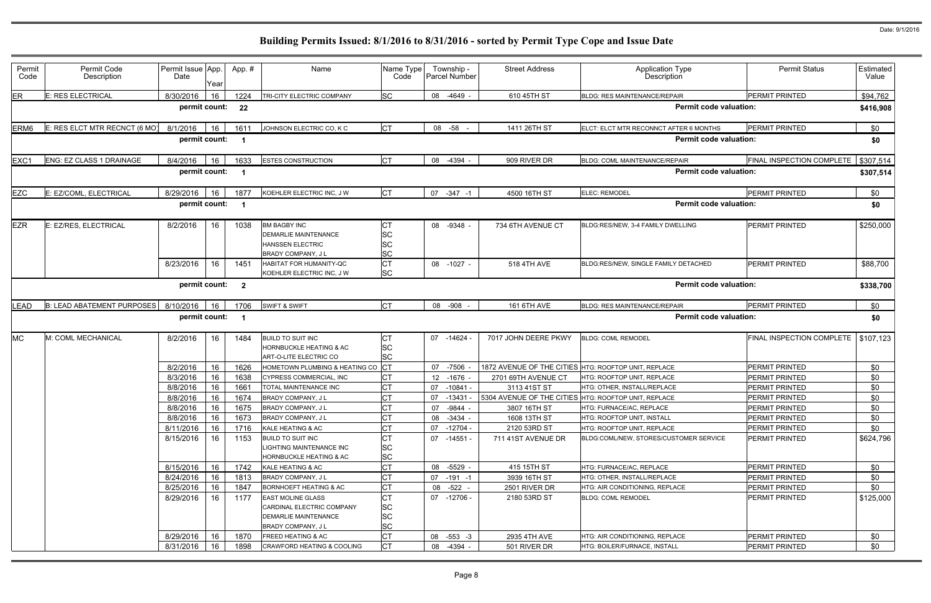| Permit<br>Code | Permit Code<br>Description      | Permit Issue App.<br>Date | Yeaı | App.#                   | Name                                                                                                      | Name Type<br>Code            |                 | Township -<br><b>Parcel Number</b> | <b>Street Address</b>                                | <b>Application Type</b><br>Description | <b>Permit Status</b>      | Estimated<br>Value |
|----------------|---------------------------------|---------------------------|------|-------------------------|-----------------------------------------------------------------------------------------------------------|------------------------------|-----------------|------------------------------------|------------------------------------------------------|----------------------------------------|---------------------------|--------------------|
| ER             | <b>E: RES ELECTRICAL</b>        | 8/30/2016                 | 16   | 1224                    | TRI-CITY ELECTRIC COMPANY                                                                                 | <b>SC</b>                    | 08              | -4649 -                            | 610 45TH ST                                          | <b>BLDG: RES MAINTENANCE/REPAIR</b>    | <b>PERMIT PRINTED</b>     | \$94,762           |
|                |                                 | permit count:             |      | 22                      |                                                                                                           |                              |                 |                                    |                                                      | <b>Permit code valuation:</b>          |                           | \$416,908          |
| ERM6           | E: RES ELCT MTR RECNCT (6 MO)   | 8/1/2016                  | 16   | 1611                    | JOHNSON ELECTRIC CO, K C                                                                                  | <b>CT</b>                    |                 | 08 -58                             | 1411 26TH ST                                         | ELCT: ELCT MTR RECONNCT AFTER 6 MONTHS | <b>PERMIT PRINTED</b>     | \$0                |
|                |                                 | permit count:             |      |                         |                                                                                                           |                              |                 |                                    |                                                      | <b>Permit code valuation:</b>          |                           | \$0                |
| EXC1           | <b>ENG: EZ CLASS 1 DRAINAGE</b> | 8/4/2016                  | 16   | 1633                    | <b>ESTES CONSTRUCTION</b>                                                                                 | <b>CT</b>                    |                 | 08 -4394 -                         | 909 RIVER DR                                         | <b>BLDG: COML MAINTENANCE/REPAIR</b>   | FINAL INSPECTION COMPLETE | \$307,514          |
|                |                                 | permit count:             |      | $\overline{\mathbf{1}}$ |                                                                                                           |                              |                 |                                    |                                                      | <b>Permit code valuation:</b>          |                           | \$307,514          |
| EZC            | E: EZ/COML, ELECTRICAL          | 8/29/2016                 | 16   | 1877                    | KOEHLER ELECTRIC INC, J W                                                                                 | <b>CT</b>                    | 07              | $-347 - 1$                         | 4500 16TH ST                                         | ELEC: REMODEL                          | <b>PERMIT PRINTED</b>     | \$0                |
|                |                                 | permit count:             |      |                         |                                                                                                           |                              |                 |                                    |                                                      | <b>Permit code valuation:</b>          |                           | \$0                |
| EZR            | E: EZ/RES, ELECTRICAL           | 8/2/2016                  | 16   | 1038                    | <b>BM BAGBY INC</b><br><b>DEMARLIE MAINTENANCE</b><br><b>HANSSEN ELECTRIC</b><br><b>BRADY COMPANY, JL</b> | СT<br>SC<br>SC<br>SC         |                 | 08 -9348 -                         | 734 6TH AVENUE CT                                    | BLDG:RES/NEW, 3-4 FAMILY DWELLING      | <b>PERMIT PRINTED</b>     | \$250,000          |
|                |                                 | 8/23/2016                 | 16   | 1451                    | <b>HABITAT FOR HUMANITY-QC</b><br>KOEHLER ELECTRIC INC, J W                                               | <b>CT</b><br><b>SC</b>       |                 | 08 -1027 -                         | 518 4TH AVE                                          | BLDG:RES/NEW, SINGLE FAMILY DETACHED   | PERMIT PRINTED            | \$88,700           |
|                |                                 | permit count:             |      | $\overline{2}$          |                                                                                                           |                              |                 |                                    |                                                      | <b>Permit code valuation:</b>          |                           | \$338,700          |
| LEAD           | B: LEAD ABATEMENT PURPOSES      | 8/10/2016                 | 16   | 1706                    | <b>SWIFT &amp; SWIFT</b>                                                                                  | <b>CT</b>                    |                 | 08 -908                            | 161 6TH AVE                                          | <b>BLDG: RES MAINTENANCE/REPAIR</b>    | <b>PERMIT PRINTED</b>     | \$0                |
|                |                                 | permit count:             |      | - 1                     |                                                                                                           |                              |                 |                                    |                                                      | <b>Permit code valuation:</b>          |                           | \$0                |
| МC             | M: COML MECHANICAL              | 8/2/2016                  | 16   | 1484                    | <b>BUILD TO SUIT INC</b><br>HORNBUCKLE HEATING & AC<br><b>ART-O-LITE ELECTRIC CO</b>                      | СT<br>SC<br>SC               |                 | 07 -14624 -                        | 7017 JOHN DEERE PKWY                                 | <b>BLDG: COML REMODEL</b>              | FINAL INSPECTION COMPLETE | \$107,123          |
|                |                                 | 8/2/2016                  | 16   | 1626                    | HOMETOWN PLUMBING & HEATING CO                                                                            | Iст                          | 07              | -7506                              | 1872 AVENUE OF THE CITIES HTG: ROOFTOP UNIT, REPLACE |                                        | <b>PERMIT PRINTED</b>     | \$0                |
|                |                                 | 8/3/2016                  | 16   | 1638                    | CYPRESS COMMERCIAL, INC                                                                                   | <b>CT</b>                    | 12 <sup>2</sup> | $-1676$                            | 2701 69TH AVENUE CT                                  | HTG: ROOFTOP UNIT, REPLACE             | <b>PERMIT PRINTED</b>     | \$0                |
|                |                                 | 8/8/2016                  | 16   | 1661                    | TOTAL MAINTENANCE INC                                                                                     | <b>CT</b>                    | 07              | $-10841 -$                         | 3113 41ST ST                                         | HTG: OTHER, INSTALL/REPLACE            | PERMIT PRINTED            | \$0                |
|                |                                 | 8/8/2016                  | 16   | 1674                    | BRADY COMPANY, J L                                                                                        | <b>CT</b>                    | 07              | -13431 -                           | 5304 AVENUE OF THE CITIES HTG: ROOFTOP UNIT, REPLACE |                                        | <b>PERMIT PRINTED</b>     | \$0                |
|                |                                 | 8/8/2016                  | 16   | 1675                    | BRADY COMPANY, J L                                                                                        | СT                           | 07              | -9844 -                            | 3807 16TH ST                                         | HTG: FURNACE/AC, REPLACE               | PERMIT PRINTED            | \$0                |
|                |                                 | 8/8/2016                  | 16   | 1673                    | BRADY COMPANY, J L                                                                                        | СT                           |                 | 08 -3434 -                         | 1608 13TH ST                                         | HTG: ROOFTOP UNIT, INSTALL             | PERMIT PRINTED            | \$0                |
|                |                                 | 8/11/2016                 | 16   | 1716                    | KALE HEATING & AC                                                                                         | <b>CT</b>                    | 07              | -12704 -                           | 2120 53RD ST                                         | HTG: ROOFTOP UNIT, REPLACE             | PERMIT PRINTED            | \$0                |
|                |                                 | 8/15/2016                 | 16   | 1153                    | <b>BUILD TO SUIT INC</b><br>LIGHTING MAINTENANCE INC<br>HORNBUCKLE HEATING & AC                           | <b>CT</b><br>SC<br>SC        |                 | 07 -14551 -                        | 711 41ST AVENUE DR                                   | BLDG:COML/NEW, STORES/CUSTOMER SERVICE | <b>PERMIT PRINTED</b>     | \$624,796          |
|                |                                 | 8/15/2016                 | 16   | 1742                    | KALE HEATING & AC                                                                                         | <b>CT</b>                    |                 | 08 -5529 -                         | 415 15TH ST                                          | HTG: FURNACE/AC, REPLACE               | PERMIT PRINTED            | \$0                |
|                |                                 | 8/24/2016                 | 16   | 1813                    | <b>BRADY COMPANY, JL</b>                                                                                  | СT                           | 07              | $-191 - 1$                         | 3939 16TH ST                                         | HTG: OTHER, INSTALL/REPLACE            | PERMIT PRINTED            | \$0                |
|                |                                 | 8/25/2016                 | 16   | 1847                    | <b>BORNHOEFT HEATING &amp; AC</b>                                                                         | СT                           |                 | 08 -522 -                          | 2501 RIVER DR                                        | HTG: AIR CONDITIONING, REPLACE         | PERMIT PRINTED            | \$0                |
|                |                                 | 8/29/2016                 | 16   | 1177                    | <b>EAST MOLINE GLASS</b><br>CARDINAL ELECTRIC COMPANY<br>DEMARLIE MAINTENANCE                             | <b>CT</b><br><b>SC</b><br>SC |                 | 07 -12706 -                        | 2180 53RD ST                                         | <b>BLDG: COML REMODEL</b>              | <b>PERMIT PRINTED</b>     | \$125,000          |
|                |                                 |                           |      |                         | <b>BRADY COMPANY, JL</b>                                                                                  | <b>SC</b>                    |                 |                                    |                                                      |                                        |                           |                    |
|                |                                 | 8/29/2016                 | 16   | 1870                    | <b>FREED HEATING &amp; AC</b>                                                                             | <b>CT</b>                    |                 | 08 -553 -3                         | 2935 4TH AVE                                         | HTG: AIR CONDITIONING, REPLACE         | <b>PERMIT PRINTED</b>     | \$0                |
|                |                                 | 8/31/2016                 | 16   | 1898                    | CRAWFORD HEATING & COOLING                                                                                | <b>CT</b>                    |                 | 08 -4394 -                         | 501 RIVER DR                                         | HTG: BOILER/FURNACE, INSTALL           | PERMIT PRINTED            | \$0                |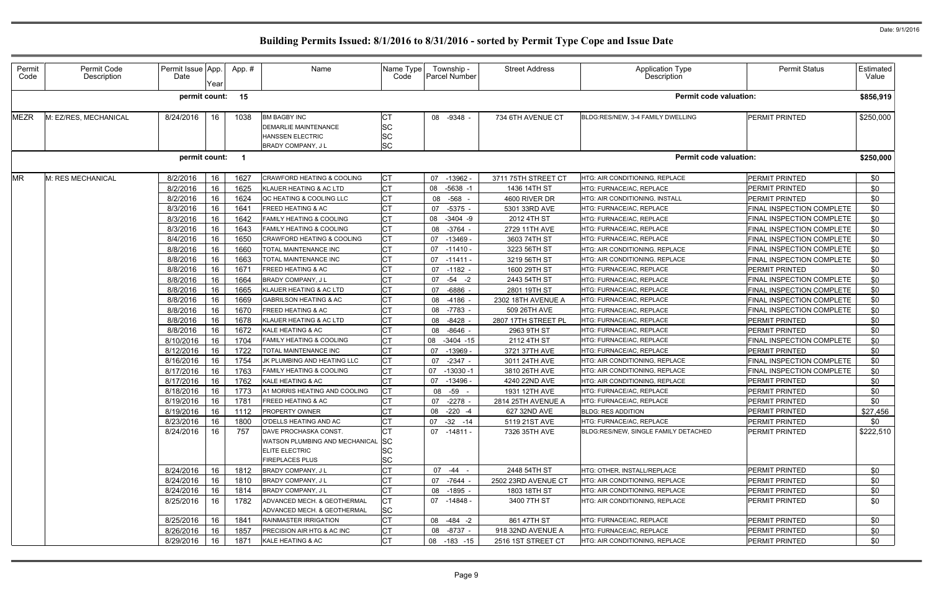| Permit<br>Code | Permit Code<br>Description | Permit Issue App.<br>Date | Year | App.#                   | Name                                                                                                      | Name Type<br>Code                          | Township -<br><b>Parcel Number</b> | <b>Street Address</b> | <b>Application Type</b><br>Description | <b>Permit Status</b>      | Estimated<br>Value |
|----------------|----------------------------|---------------------------|------|-------------------------|-----------------------------------------------------------------------------------------------------------|--------------------------------------------|------------------------------------|-----------------------|----------------------------------------|---------------------------|--------------------|
|                |                            | permit count:             |      | 15                      |                                                                                                           |                                            |                                    |                       | <b>Permit code valuation:</b>          |                           | \$856,919          |
| <b>MEZR</b>    | M: EZ/RES, MECHANICAL      | 8/24/2016                 | 16   | 1038                    | <b>BM BAGBY INC</b><br><b>DEMARLIE MAINTENANCE</b><br><b>HANSSEN ELECTRIC</b><br><b>BRADY COMPANY, JL</b> | IСТ<br><b>SC</b><br><b>SC</b><br><b>SC</b> | 08 -9348 -                         | 734 6TH AVENUE CT     | BLDG:RES/NEW, 3-4 FAMILY DWELLING      | PERMIT PRINTED            | \$250,000          |
|                |                            | permit count:             |      | $\overline{\mathbf{1}}$ |                                                                                                           |                                            |                                    |                       | <b>Permit code valuation:</b>          |                           | \$250,000          |
| MR             | M: RES MECHANICAL          | 8/2/2016                  | 16   | 1627                    | <b>CRAWFORD HEATING &amp; COOLING</b>                                                                     | Iст                                        | -13962 -<br>07                     | 3711 75TH STREET CT   | HTG: AIR CONDITIONING, REPLACE         | PERMIT PRINTED            | \$0                |
|                |                            | 8/2/2016                  | 16   | 1625                    | KLAUER HEATING & AC LTD                                                                                   | C <sub>T</sub>                             | 08<br>$-5638 - 1$                  | 1436 14TH ST          | HTG: FURNACE/AC, REPLACE               | PERMIT PRINTED            | \$0                |
|                |                            | 8/2/2016                  | 16   | 1624                    | QC HEATING & COOLING LLC                                                                                  |                                            | -568<br>08                         | 4600 RIVER DR         | HTG: AIR CONDITIONING, INSTALL         | PERMIT PRINTED            | \$0                |
|                |                            | 8/3/2016                  | 16   | 1641                    | <b>FREED HEATING &amp; AC</b>                                                                             | C <sub>T</sub>                             | $-5375$<br>07                      | 5301 33RD AVE         | HTG: FURNACE/AC, REPLACE               | FINAL INSPECTION COMPLETE | \$0                |
|                |                            | 8/3/2016                  | 16   | 1642                    | <b>FAMILY HEATING &amp; COOLING</b>                                                                       | C <sub>T</sub>                             | 08<br>$-3404 -9$                   | 2012 4TH ST           | HTG: FURNACE/AC, REPLACE               | FINAL INSPECTION COMPLETE | \$0                |
|                |                            | 8/3/2016                  | 16   | 1643                    | <b>FAMILY HEATING &amp; COOLING</b>                                                                       | C <sub>T</sub>                             | 08<br>-3764 -                      | 2729 11TH AVE         | HTG: FURNACE/AC, REPLACE               | FINAL INSPECTION COMPLETE | \$0                |
|                |                            | 8/4/2016                  | 16   | 1650                    | CRAWFORD HEATING & COOLING                                                                                | <b>CT</b>                                  | -13469 -<br>07                     | 3603 74TH ST          | HTG: FURNACE/AC, REPLACE               | FINAL INSPECTION COMPLETE | \$0                |
|                |                            | 8/8/2016                  | 16   | 1660                    | TOTAL MAINTENANCE INC                                                                                     |                                            | 07<br>-11410 -                     | 3223 56TH ST          | HTG: AIR CONDITIONING. REPLACE         | FINAL INSPECTION COMPLETE | \$0                |
|                |                            | 8/8/2016                  | 16   | 1663                    | TOTAL MAINTENANCE INC                                                                                     | C <sub>T</sub>                             | 07<br>$-11411$                     | 3219 56TH ST          | HTG: AIR CONDITIONING, REPLACE         | FINAL INSPECTION COMPLETE | \$0                |
|                |                            | 8/8/2016                  | 16   | 167'                    | FREED HEATING & AC                                                                                        | СT                                         | 07<br>-1182 -                      | 1600 29TH ST          | HTG: FURNACE/AC, REPLACE               | PERMIT PRINTED            | \$0                |
|                |                            | 8/8/2016                  | 16   | 1664                    | <b>BRADY COMPANY, JL</b>                                                                                  |                                            | $-54 - 2$<br>07                    | 2443 54TH ST          | HTG: FURNACE/AC, REPLACE               | FINAL INSPECTION COMPLETE | \$0                |
|                |                            | 8/8/2016                  | 16   | 1665                    | KLAUER HEATING & AC LTD                                                                                   |                                            | 07<br>$-6886$ -                    | 2801 19TH ST          | HTG: FURNACE/AC, REPLACE               | FINAL INSPECTION COMPLETE | \$0                |
|                |                            | 8/8/2016                  | 16   | 1669                    | <b>GABRILSON HEATING &amp; AC</b>                                                                         | C <sub>T</sub>                             | 08<br>-4186 -                      | 2302 18TH AVENUE A    | HTG: FURNACE/AC, REPLACE               | FINAL INSPECTION COMPLETE | \$0                |
|                |                            | 8/8/2016                  | 16   | 1670                    | FREED HEATING & AC                                                                                        | СT                                         | 08<br>-7783 -                      | 509 26TH AVE          | HTG: FURNACE/AC, REPLACE               | FINAL INSPECTION COMPLETE | \$0                |
|                |                            | 8/8/2016                  | 16   | 1678                    | KLAUER HEATING & AC LTD                                                                                   | C <sub>T</sub>                             | $-8428 -$<br>08                    | 2807 17TH STREET PL   | HTG: FURNACE/AC, REPLACE               | PERMIT PRINTED            | \$0                |
|                |                            | 8/8/2016                  | 16   | 1672                    | KALE HEATING & AC                                                                                         |                                            | $-8646$<br>08                      | 2963 9TH ST           | <b>ITG: FURNACE/AC, REPLACE</b>        | PERMIT PRINTED            | \$0                |
|                |                            | 8/10/2016                 | 16   | 1704                    | <b>FAMILY HEATING &amp; COOLING</b>                                                                       | C <sub>T</sub>                             | 08<br>$-3404 - 15$                 | 2112 4TH ST           | HTG: FURNACE/AC, REPLACE               | FINAL INSPECTION COMPLETE | \$0                |
|                |                            | 8/12/2016                 | 16   | 1722                    | TOTAL MAINTENANCE INC                                                                                     | Iст                                        | $-13969$<br>07                     | 3721 37TH AVE         | HTG: FURNACE/AC, REPLACE               | PERMIT PRINTED            | \$0                |
|                |                            | 8/16/2016                 | 16   | 1754                    | JK PLUMBING AND HEATING LLC                                                                               | C <sub>T</sub>                             | $-2347 -$<br>07                    | 3011 24TH AVE         | HTG: AIR CONDITIONING, REPLACE         | FINAL INSPECTION COMPLETE | \$0                |
|                |                            | 8/17/2016                 | 16   | 1763                    | <b>FAMILY HEATING &amp; COOLING</b>                                                                       | C <sub>T</sub>                             | 07<br>$-13030 - 1$                 | 3810 26TH AVE         | HTG: AIR CONDITIONING, REPLACE         | FINAL INSPECTION COMPLETE | \$0                |
|                |                            | 8/17/2016                 | 16   | 1762                    | KALE HEATING & AC                                                                                         | C <sub>T</sub>                             | 07<br>-13496 -                     | 4240 22ND AVE         | HTG: AIR CONDITIONING, REPLACE         | PERMIT PRINTED            | \$0                |
|                |                            | 8/18/2016                 | 16   | 1773                    | A1 MORRIS HEATING AND COOLING                                                                             | Iст                                        | 08 - 59 -                          | 1931 12TH AVE         | HTG: FURNACE/AC. REPLACE               | PERMIT PRINTED            | \$0                |
|                |                            | 8/19/2016   16   1781     |      |                         | FREED HEATING & AC                                                                                        | <b>CT</b>                                  | 07 -2278 -                         | 2814 25TH AVENUE A    | HTG: FURNACE/AC, REPLACE               | PERMIT PRINTED            | \$0                |
|                |                            | 8/19/2016                 | 16   | 1112                    | <b>PROPERTY OWNER</b>                                                                                     | <b>CT</b>                                  | 08 -220 -4                         | 627 32ND AVE          | <b>BLDG: RES ADDITION</b>              | PERMIT PRINTED            | \$27,456           |
|                |                            | 8/23/2016                 | 16   | 1800                    | O'DELLS HEATING AND AC                                                                                    | <b>CT</b>                                  | 07 -32 -14                         | 5119 21ST AVE         | HTG: FURNACE/AC, REPLACE               | PERMIT PRINTED            | <b>\$0</b>         |
|                |                            | 8/24/2016                 | 16   | 757                     | DAVE PROCHASKA CONST.<br>WATSON PLUMBING AND MECHANICAL SC<br>ELITE ELECTRIC<br><b>FIREPLACES PLUS</b>    | IСТ<br><b>SC</b><br><b>SC</b>              | 07 -14811 -                        | 7326 35TH AVE         | BLDG:RES/NEW, SINGLE FAMILY DETACHED   | <b>PERMIT PRINTED</b>     | \$222,510          |
|                |                            | 8/24/2016                 | 16   | 1812                    | BRADY COMPANY, J L                                                                                        | <b>CT</b>                                  | 07 -44 -                           | 2448 54TH ST          | <b>HTG: OTHER. INSTALL/REPLACE</b>     | PERMIT PRINTED            | \$0                |
|                |                            | 8/24/2016                 | 16   |                         | BRADY COMPANY, J L                                                                                        | C <sub>T</sub>                             | -7644 -<br>07                      | 2502 23RD AVENUE CT   | <b>HTG: AIR CONDITIONING. REPLACE</b>  | PERMIT PRINTED            | \$0                |
|                |                            | 8/24/2016                 | 16   | 1810<br>1814            | BRADY COMPANY, JL                                                                                         |                                            | 08<br>-1895 -                      | 1803 18TH ST          | HTG: AIR CONDITIONING, REPLACE         | PERMIT PRINTED            | \$0                |
|                |                            | 8/25/2016                 | 16   | 1782                    | ADVANCED MECH. & GEOTHERMAL<br>ADVANCED MECH. & GEOTHERMAL                                                | Iст<br><b>SC</b>                           | 07 -14848 -                        | 3400 7TH ST           | HTG: AIR CONDITIONING, REPLACE         | PERMIT PRINTED            | \$0                |
|                |                            | 8/25/2016                 | 16   | 1841                    | <b>RAINMASTER IRRIGATION</b>                                                                              | <b>CT</b>                                  | 08 -484 -2                         | 861 47TH ST           | HTG: FURNACE/AC, REPLACE               | PERMIT PRINTED            | \$0                |
|                |                            | 8/26/2016                 | 16   | 1857                    | PRECISION AIR HTG & AC INC                                                                                | C <sub>T</sub>                             | -8737 -<br>08                      | 918 32ND AVENUE A     | HTG: FURNACE/AC, REPLACE               | PERMIT PRINTED            | \$0                |
|                |                            | 8/29/2016                 | 16   | 1871                    | KALE HEATING & AC                                                                                         | <b>CT</b>                                  | 08 -183 -15                        | 2516 1ST STREET CT    | HTG: AIR CONDITIONING, REPLACE         | PERMIT PRINTED            | \$0                |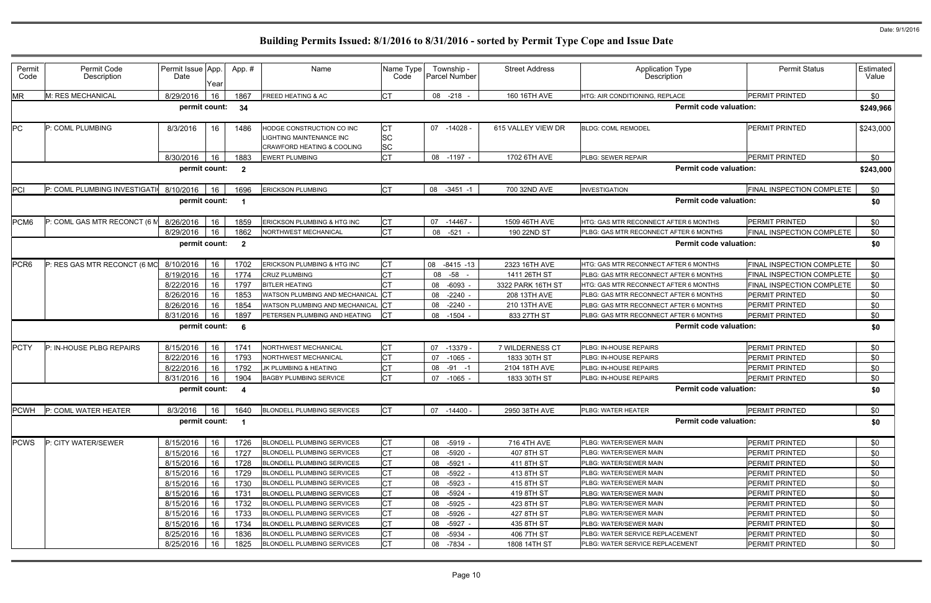| Permit<br>Code | Permit Code<br>Description             | Permit Issue App.<br>Date | Year | App.#                   | Name                                                                                                  | Name Type<br>Code     | Township -<br>Parcel Number | <b>Street Address</b> | <b>Application Type</b><br>Description | <b>Permit Status</b>      | Estimated<br>Value |
|----------------|----------------------------------------|---------------------------|------|-------------------------|-------------------------------------------------------------------------------------------------------|-----------------------|-----------------------------|-----------------------|----------------------------------------|---------------------------|--------------------|
| ΜR             | M: RES MECHANICAL                      | 8/29/2016                 | 16   | 1867                    | <b>FREED HEATING &amp; AC</b>                                                                         | <b>CT</b>             | 08 -218                     | 160 16TH AVE          | HTG: AIR CONDITIONING, REPLACE         | <b>PERMIT PRINTED</b>     | \$0                |
|                |                                        | permit count:             |      | 34                      |                                                                                                       |                       |                             |                       | <b>Permit code valuation:</b>          |                           | \$249,966          |
| PC.            | P: COML PLUMBING                       | 8/3/2016                  | 16   | 1486                    | HODGE CONSTRUCTION CO INC<br><b>LIGHTING MAINTENANCE INC</b><br><b>CRAWFORD HEATING &amp; COOLING</b> | <b>CT</b><br>SC<br>SC | 07 -14028                   | 615 VALLEY VIEW DR    | <b>BLDG: COML REMODEL</b>              | <b>PERMIT PRINTED</b>     | \$243,000          |
|                |                                        | 8/30/2016                 | 16   | 1883                    | <b>EWERT PLUMBING</b>                                                                                 | <b>CT</b>             | 08 -1197 -                  | 1702 6TH AVE          | PLBG: SEWER REPAIR                     | <b>PERMIT PRINTED</b>     | \$0                |
|                |                                        | permit count:             |      | $\overline{\mathbf{2}}$ |                                                                                                       |                       |                             |                       | <b>Permit code valuation:</b>          |                           | \$243,000          |
| PCI            | P: COML PLUMBING INVESTIGATI 8/10/2016 |                           | 16   | 1696                    | <b>ERICKSON PLUMBING</b>                                                                              | Iст                   | 08<br>$-3451 - 1$           | 700 32ND AVE          | <b>INVESTIGATION</b>                   | FINAL INSPECTION COMPLETE | \$0                |
|                |                                        | permit count:             |      | -1                      |                                                                                                       |                       |                             |                       | <b>Permit code valuation:</b>          |                           | \$0                |
| PCM6           | P: COML GAS MTR RECONCT (6)            | 8/26/2016                 | 16   | 1859                    | ERICKSON PLUMBING & HTG INC                                                                           | <b>CT</b>             | -14467 -<br>07              | 1509 46TH AVE         | HTG: GAS MTR RECONNECT AFTER 6 MONTHS  | <b>PERMIT PRINTED</b>     | \$0                |
|                |                                        | 8/29/2016                 | 16   | 1862                    | NORTHWEST MECHANICAL                                                                                  | <b>CT</b>             | 08<br>$-521$                | 190 22ND ST           | PLBG: GAS MTR RECONNECT AFTER 6 MONTHS | FINAL INSPECTION COMPLETE | \$0                |
|                |                                        | permit count:             |      | $\overline{\mathbf{2}}$ |                                                                                                       |                       |                             |                       | <b>Permit code valuation:</b>          |                           | \$0                |
| PCR6           | P: RES GAS MTR RECONCT (6 MC           | 8/10/2016                 | 16   | 1702                    | ERICKSON PLUMBING & HTG INC                                                                           | СT                    | 08<br>$-8415 - 13$          | 2323 16TH AVE         | HTG: GAS MTR RECONNECT AFTER 6 MONTHS  | FINAL INSPECTION COMPLETE | \$0                |
|                |                                        | 8/19/2016                 | 16   | 1774                    | <b>CRUZ PLUMBING</b>                                                                                  | СT                    | -58<br>08                   | 1411 26TH ST          | PLBG: GAS MTR RECONNECT AFTER 6 MONTHS | FINAL INSPECTION COMPLETE | \$0                |
|                |                                        | 8/22/2016                 | 16   | 1797                    | <b>BITLER HEATING</b>                                                                                 | CТ                    | 08 -6093 -                  | 3322 PARK 16TH ST     | HTG: GAS MTR RECONNECT AFTER 6 MONTHS  | FINAL INSPECTION COMPLETE | \$0                |
|                |                                        | 8/26/2016                 | 16   | 1853                    | WATSON PLUMBING AND MECHANICAL                                                                        |                       | $-2240 -$<br>08             | 208 13TH AVE          | PLBG: GAS MTR RECONNECT AFTER 6 MONTHS | PERMIT PRINTED            | \$0                |
|                |                                        | 8/26/2016                 | 16   | 1854                    | WATSON PLUMBING AND MECHANICAL                                                                        |                       | $-2240 -$<br>08             | 210 13TH AVE          | PLBG: GAS MTR RECONNECT AFTER 6 MONTHS | PERMIT PRINTED            | \$0                |
|                |                                        | 8/31/2016                 | 16   | 1897                    | PETERSEN PLUMBING AND HEATING                                                                         | СT                    | 08<br>$-1504$               | 833 27TH ST           | PLBG: GAS MTR RECONNECT AFTER 6 MONTHS | <b>PERMIT PRINTED</b>     | \$0                |
|                |                                        | permit count:             |      | 6                       |                                                                                                       |                       |                             |                       | <b>Permit code valuation:</b>          |                           | \$0                |
| <b>PCTY</b>    | P: IN-HOUSE PLBG REPAIRS               | 8/15/2016                 | 16   | 174 <sup>1</sup>        | NORTHWEST MECHANICAL                                                                                  | СT                    | $-13379$<br>07              | 7 WILDERNESS CT       | PLBG: IN-HOUSE REPAIRS                 | <b>PERMIT PRINTED</b>     | \$0                |
|                |                                        | 8/22/2016                 | 16   | 1793                    | NORTHWEST MECHANICAL                                                                                  |                       | $-1065 -$<br>07             | 1833 30TH ST          | PLBG: IN-HOUSE REPAIRS                 | PERMIT PRINTED            | \$0                |
|                |                                        | 8/22/2016                 | 16   | 1792                    | JK PLUMBING & HEATING                                                                                 |                       | 08<br>$-91$<br>-1           | 2104 18TH AVE         | PLBG: IN-HOUSE REPAIRS                 | PERMIT PRINTED            | \$0                |
|                |                                        | 8/31/2016                 | 16   | 1904                    | <b>BAGBY PLUMBING SERVICE</b>                                                                         | <b>CT</b>             | 07<br>-1065 -               | 1833 30TH ST          | PLBG: IN-HOUSE REPAIRS                 | PERMIT PRINTED            | \$0                |
|                |                                        | permit count:             |      | -4                      |                                                                                                       |                       |                             |                       | <b>Permit code valuation:</b>          |                           | \$0                |
| PCWH           | P: COML WATER HEATER                   | 8/3/2016                  | 16   | 1640                    | <b>BLONDELL PLUMBING SERVICES</b>                                                                     | <b>CT</b>             | 07 -14400 -                 | 2950 38TH AVE         | PLBG: WATER HEATER                     | <b>PERMIT PRINTED</b>     | \$0                |
|                |                                        | permit count:             |      | $\blacksquare$          |                                                                                                       |                       |                             |                       | <b>Permit code valuation:</b>          |                           | \$0                |
| <b>PCWS</b>    | P: CITY WATER/SEWER                    | 8/15/2016                 | 16   | 1726                    | <b>BLONDELL PLUMBING SERVICES</b>                                                                     | <b>CT</b>             | 08<br>-5919 -               | 716 4TH AVE           | PLBG: WATER/SEWER MAIN                 | PERMIT PRINTED            | \$0                |
|                |                                        | 8/15/2016                 | 16   | 1727                    | <b>BLONDELL PLUMBING SERVICES</b>                                                                     | СT                    | $-5920 -$<br>08             | 407 8TH ST            | PLBG: WATER/SEWER MAIN                 | PERMIT PRINTED            | \$0                |
|                |                                        | 8/15/2016                 | 16   | 1728                    | BLONDELL PLUMBING SERVICES                                                                            | СT                    | 08 -5921 -                  | 411 8TH ST            | PLBG: WATER/SEWER MAIN                 | PERMIT PRINTED            | \$0                |
|                |                                        | 8/15/2016                 | 16   | 1729                    | <b>BLONDELL PLUMBING SERVICES</b>                                                                     | СT                    | $-5922 -$<br>08             | 413 8TH ST            | PLBG: WATER/SEWER MAIN                 | PERMIT PRINTED            | \$0                |
|                |                                        | 8/15/2016                 | 16   | 1730                    | <b>BLONDELL PLUMBING SERVICES</b>                                                                     | СT                    | 08<br>-5923 -               | 415 8TH ST            | PLBG: WATER/SEWER MAIN                 | PERMIT PRINTED            | \$0                |
|                |                                        | 8/15/2016                 | 16   | 1731                    | <b>BLONDELL PLUMBING SERVICES</b>                                                                     | СT                    | $-5924 -$<br>08             | 419 8TH ST            | PLBG: WATER/SEWER MAIN                 | <b>PERMIT PRINTED</b>     | \$0                |
|                |                                        | 8/15/2016                 | 16   | 1732                    | BLONDELL PLUMBING SERVICES                                                                            | СT                    | -5925 -<br>08               | 423 8TH ST            | PLBG: WATER/SEWER MAIN                 | PERMIT PRINTED            | \$0                |
|                |                                        | 8/15/2016                 | 16   | 1733                    | <b>BLONDELL PLUMBING SERVICES</b>                                                                     | <b>CT</b>             | -5926 -<br>08               | 427 8TH ST            | PLBG: WATER/SEWER MAIN                 | PERMIT PRINTED            | \$0                |
|                |                                        | 8/15/2016                 | 16   | 1734                    | <b>BLONDELL PLUMBING SERVICES</b>                                                                     | СT                    | $-5927 -$<br>08             | 435 8TH ST            | PLBG: WATER/SEWER MAIN                 | PERMIT PRINTED            | \$0                |
|                |                                        | 8/25/2016                 | 16   | 1836                    | <b>BLONDELL PLUMBING SERVICES</b>                                                                     | СT                    | $-5934 -$<br>08             | 406 7TH ST            | PLBG: WATER SERVICE REPLACEMENT        | <b>PERMIT PRINTED</b>     | \$0                |
|                |                                        | 8/25/2016                 | 16   | 1825                    | <b>BLONDELL PLUMBING SERVICES</b>                                                                     | СT                    | 08 -7834 -                  | 1808 14TH ST          | PLBG: WATER SERVICE REPLACEMENT        | PERMIT PRINTED            | \$0                |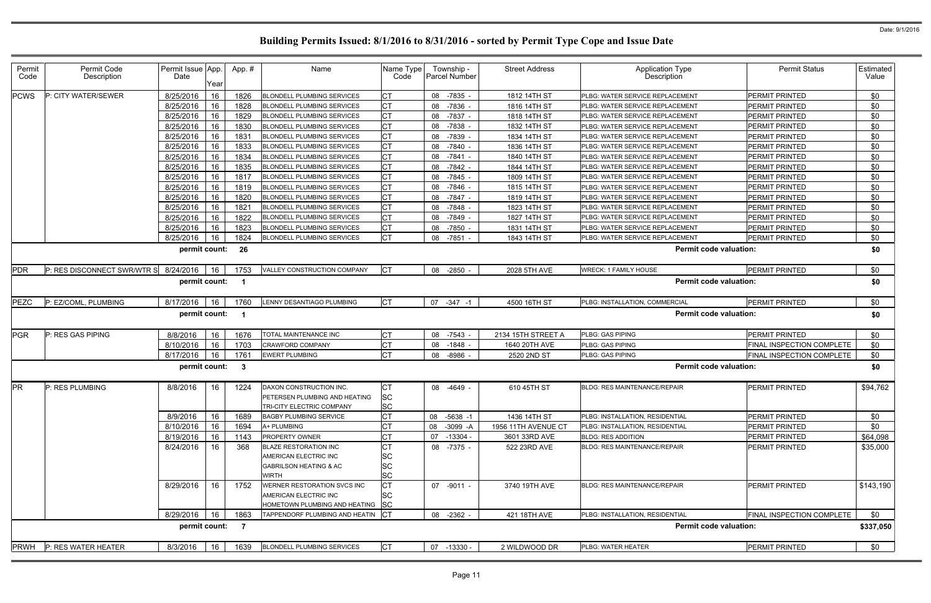| Permit<br>Code | Permit Code<br>Description  | Permit Issue App.<br>Date | Year | App.#                   | Name                                                                                                | Name Type<br>Code                         |    | Township -<br>Parcel Number | <b>Street Address</b> | <b>Application Type</b><br>Description | <b>Permit Status</b>             | Estimated<br>Value |
|----------------|-----------------------------|---------------------------|------|-------------------------|-----------------------------------------------------------------------------------------------------|-------------------------------------------|----|-----------------------------|-----------------------|----------------------------------------|----------------------------------|--------------------|
| <b>PCWS</b>    | P: CITY WATER/SEWER         | 8/25/2016                 | 16   | 1826                    | <b>BLONDELL PLUMBING SERVICES</b>                                                                   | <b>CT</b>                                 |    | 08 -7835 -                  | 1812 14TH ST          | PLBG: WATER SERVICE REPLACEMENT        | PERMIT PRINTED                   | \$0                |
|                |                             | 8/25/2016                 | 16   | 1828                    | <b>BLONDELL PLUMBING SERVICES</b>                                                                   | <b>CT</b>                                 | 08 | $-7836$                     | 1816 14TH ST          | PLBG: WATER SERVICE REPLACEMENT        | <b>PERMIT PRINTED</b>            | \$0                |
|                |                             | 8/25/2016                 | 16   | 1829                    | <b>BLONDELL PLUMBING SERVICES</b>                                                                   | <b>CT</b>                                 |    | 08 -7837 -                  | 1818 14TH ST          | PLBG: WATER SERVICE REPLACEMENT        | <b>PERMIT PRINTED</b>            | \$0                |
|                |                             | 8/25/2016                 | 16   | 1830                    | <b>BLONDELL PLUMBING SERVICES</b>                                                                   | <b>CT</b>                                 |    | 08 -7838                    | 1832 14TH ST          | PLBG: WATER SERVICE REPLACEMENT        | <b>PERMIT PRINTED</b>            | \$0                |
|                |                             | 8/25/2016                 | 16   | 1831                    | <b>BLONDELL PLUMBING SERVICES</b>                                                                   | <b>CT</b>                                 |    | 08 -7839                    | 1834 14TH ST          | PLBG: WATER SERVICE REPLACEMENT        | <b>PERMIT PRINTED</b>            | \$0                |
|                |                             | 8/25/2016                 | 16   | 1833                    | <b>BLONDELL PLUMBING SERVICES</b>                                                                   | <b>CT</b>                                 | 08 | $-7840$                     | 1836 14TH ST          | PLBG: WATER SERVICE REPLACEMENT        | <b>PERMIT PRINTED</b>            | \$0                |
|                |                             | 8/25/2016                 | 16   | 1834                    | <b>BLONDELL PLUMBING SERVICES</b>                                                                   | <b>CT</b>                                 |    | 08 -7841 -                  | 1840 14TH ST          | PLBG: WATER SERVICE REPLACEMENT        | PERMIT PRINTED                   | \$0                |
|                |                             | 8/25/2016                 | 16   | 1835                    | <b>BLONDELL PLUMBING SERVICES</b>                                                                   | <b>CT</b>                                 |    | 08 -7842 -                  | 1844 14TH ST          | PLBG: WATER SERVICE REPLACEMENT        | <b>PERMIT PRINTED</b>            | \$0                |
|                |                             | 8/25/2016                 | 16   | 1817                    | <b>BLONDELL PLUMBING SERVICES</b>                                                                   | <b>CT</b>                                 | 08 | -7845 -                     | 1809 14TH ST          | PLBG: WATER SERVICE REPLACEMENT        | <b>PERMIT PRINTED</b>            | \$0                |
|                |                             | 8/25/2016                 | 16   | 1819                    | <b>BLONDELL PLUMBING SERVICES</b>                                                                   | <b>CT</b>                                 | 08 | $-7846$ .                   | 1815 14TH ST          | PLBG: WATER SERVICE REPLACEMENT        | <b>PERMIT PRINTED</b>            | \$0                |
|                |                             | 8/25/2016                 | 16   | 1820                    | <b>BLONDELL PLUMBING SERVICES</b>                                                                   | <b>CT</b>                                 | 08 | -7847 -                     | 1819 14TH ST          | PLBG: WATER SERVICE REPLACEMENT        | <b>PERMIT PRINTED</b>            | \$0                |
|                |                             | 8/25/2016                 | 16   | 1821                    | <b>BLONDELL PLUMBING SERVICES</b>                                                                   | IСТ                                       |    | 08 -7848                    | 1823 14TH ST          | PLBG: WATER SERVICE REPLACEMENT        | PERMIT PRINTED                   | \$0                |
|                |                             | 8/25/2016                 | 16   | 1822                    | <b>BLONDELL PLUMBING SERVICES</b>                                                                   | <b>CT</b>                                 | 08 | -7849                       | 1827 14TH ST          | PLBG: WATER SERVICE REPLACEMENT        | <b>PERMIT PRINTED</b>            | \$0                |
|                |                             | 8/25/2016                 | 16   | 1823                    | <b>BLONDELL PLUMBING SERVICES</b>                                                                   | <b>CT</b>                                 | 08 | -7850                       | 1831 14TH ST          | PLBG: WATER SERVICE REPLACEMENT        | PERMIT PRINTED                   | \$0                |
|                |                             | 8/25/2016                 | 16   | 1824                    | <b>BLONDELL PLUMBING SERVICES</b>                                                                   | <b>CT</b>                                 | 08 | $-7851$                     | 1843 14TH ST          | PLBG: WATER SERVICE REPLACEMENT        | <b>PERMIT PRINTED</b>            | \$0                |
|                |                             | permit count:             |      | 26                      |                                                                                                     |                                           |    |                             |                       | <b>Permit code valuation:</b>          |                                  | \$0                |
| PDR            | P: RES DISCONNECT SWR/WTR S | 8/24/2016                 | 16   | 1753                    | VALLEY CONSTRUCTION COMPANY                                                                         | <b>ICT</b>                                |    | 08 -2850                    | 2028 5TH AVE          | <b>WRECK: 1 FAMILY HOUSE</b>           | <b>PERMIT PRINTED</b>            | \$0                |
|                |                             | permit count:             |      |                         |                                                                                                     |                                           |    |                             |                       | <b>Permit code valuation:</b>          |                                  | \$0                |
| PEZC           | P: EZ/COML, PLUMBING        | 8/17/2016                 | 16   | 1760                    | <b>ENNY DESANTIAGO PLUMBING</b>                                                                     | <b>CT</b>                                 |    | 07 -347 -1                  | 4500 16TH ST          | PLBG: INSTALLATION, COMMERCIAL         | <b>PERMIT PRINTED</b>            | \$0                |
|                |                             | permit count:             |      | $\overline{\mathbf{1}}$ |                                                                                                     |                                           |    |                             |                       | <b>Permit code valuation:</b>          |                                  | \$0                |
| <b>PGR</b>     | P: RES GAS PIPING           | 8/8/2016                  | 16   | 1676                    | TOTAL MAINTENANCE INC                                                                               | <b>CT</b>                                 |    | 08 -7543 -                  | 2134 15TH STREET A    | <b>PLBG: GAS PIPING</b>                | <b>PERMIT PRINTED</b>            | \$0                |
|                |                             | 8/10/2016                 | 16   | 1703                    | CRAWFORD COMPANY                                                                                    | <b>CT</b>                                 | 08 | $-1848$                     | 1640 20TH AVE         | PLBG: GAS PIPING                       | FINAL INSPECTION COMPLETE        | \$0                |
|                |                             | 8/17/2016                 | 16   | 1761                    | <b>EWERT PLUMBING</b>                                                                               | IСТ                                       | 08 | -8986                       | 2520 2ND ST           | PLBG: GAS PIPING                       | FINAL INSPECTION COMPLETE        | \$0                |
|                |                             | permit count:             |      | - 3                     |                                                                                                     |                                           |    |                             |                       | <b>Permit code valuation:</b>          |                                  | \$0                |
| <b>PR</b>      | P: RES PLUMBING             | 8/8/2016                  | 16   | 1224                    | DAXON CONSTRUCTION INC.<br>PETERSEN PLUMBING AND HEATING<br>TRI-CITY ELECTRIC COMPANY               | СT<br><b>SC</b><br><b>SC</b>              |    | 08 -4649                    | 610 45TH ST           | <b>BLDG: RES MAINTENANCE/REPAIR</b>    | <b>PERMIT PRINTED</b>            | \$94,762           |
|                |                             | 8/9/2016                  | 16   | 1689                    | <b>BAGBY PLUMBING SERVICE</b>                                                                       | <b>CT</b>                                 | 08 | $-5638 - 1$                 | 1436 14TH ST          | PLBG: INSTALLATION, RESIDENTIAL        | <b>PERMIT PRINTED</b>            | \$0                |
|                |                             | 8/10/2016                 | 16   | 1694                    | A+ PLUMBING                                                                                         | <b>CT</b>                                 |    | 08 -3099 -A                 | 1956 11TH AVENUE CT   | <b>PLBG: INSTALLATION, RESIDENTIAL</b> | <b>PERMIT PRINTED</b>            | \$0                |
|                |                             | 8/19/2016                 | 16   | 1143                    | PROPERTY OWNER                                                                                      | <b>CT</b>                                 | 07 | $-13304 -$                  | 3601 33RD AVE         | <b>BLDG: RES ADDITION</b>              | PERMIT PRINTED                   | \$64,098           |
|                |                             | 8/24/2016                 | 16   | 368                     | <b>BLAZE RESTORATION INC</b><br>AMERICAN ELECTRIC INC<br><b>GABRILSON HEATING &amp; AC</b><br>WIRTH | СT<br><b>SC</b><br><b>SC</b><br><b>SC</b> |    | 08 -7375 -                  | 522 23RD AVE          | <b>BLDG: RES MAINTENANCE/REPAIR</b>    | <b>PERMIT PRINTED</b>            | \$35,000           |
|                |                             | 8/29/2016                 | 16   | 1752                    | WERNER RESTORATION SVCS INC<br>AMERICAN ELECTRIC INC<br>HOMETOWN PLUMBING AND HEATING               | <b>CT</b><br><b>SC</b><br><b>SC</b>       |    | 07 -9011 -                  | 3740 19TH AVE         | <b>BLDG: RES MAINTENANCE/REPAIR</b>    | <b>PERMIT PRINTED</b>            | \$143,190          |
|                |                             | 8/29/2016                 | 16   | 1863                    | TAPPENDORF PLUMBING AND HEATIN                                                                      | $ _{\rm CT}$                              |    | 08 -2362 -                  | 421 18TH AVE          | PLBG: INSTALLATION, RESIDENTIAL        | <b>FINAL INSPECTION COMPLETE</b> | \$0                |
|                |                             | permit count:             |      | $\overline{7}$          |                                                                                                     |                                           |    |                             |                       | <b>Permit code valuation:</b>          |                                  | \$337,050          |
| <b>PRWH</b>    | P: RES WATER HEATER         | 8/3/2016                  | 16   | 1639                    | <b>BLONDELL PLUMBING SERVICES</b>                                                                   | <b>CT</b>                                 |    | 07 -13330 -                 | 2 WILDWOOD DR         | <b>PLBG: WATER HEATER</b>              | PERMIT PRINTED                   | \$0                |